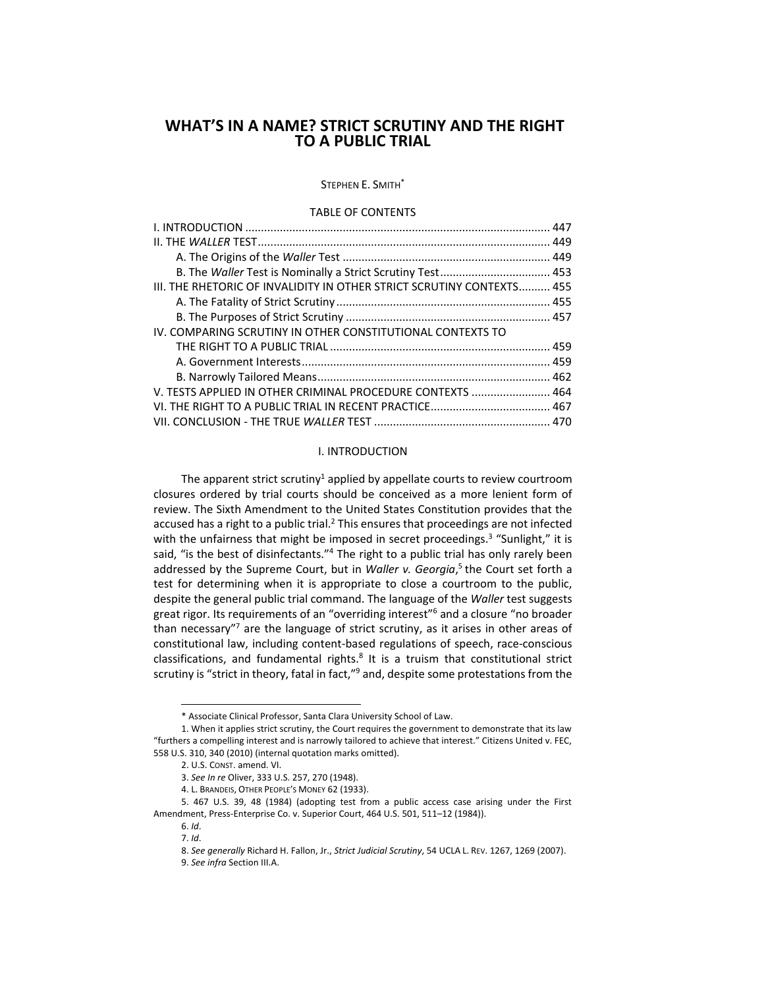STEPHEN E. SMITH<sup>\*</sup>

### TABLE OF CONTENTS

| III. THE RHETORIC OF INVALIDITY IN OTHER STRICT SCRUTINY CONTEXTS 455 |  |
|-----------------------------------------------------------------------|--|
|                                                                       |  |
|                                                                       |  |
| IV. COMPARING SCRUTINY IN OTHER CONSTITUTIONAL CONTEXTS TO            |  |
|                                                                       |  |
|                                                                       |  |
|                                                                       |  |
| V. TESTS APPLIED IN OTHER CRIMINAL PROCEDURE CONTEXTS  464            |  |
|                                                                       |  |
|                                                                       |  |

### I. INTRODUCTION

<span id="page-0-0"></span>The apparent strict scrutiny<sup>1</sup> applied by appellate courts to review courtroom closures ordered by trial courts should be conceived as a more lenient form of review. The Sixth Amendment to the United States Constitution provides that the accused has a right to a public trial.<sup>2</sup> This ensures that proceedings are not infected with the unfairness that might be imposed in secret proceedings.<sup>3</sup> "Sunlight," it is said, "is the best of disinfectants."<sup>4</sup> The right to a public trial has only rarely been addressed by the Supreme Court, but in *Waller v. Georgia*,<sup>5</sup> the Court set forth a test for determining when it is appropriate to close a courtroom to the public, despite the general public trial command. The language of the *Waller* test suggests great rigor. Its requirements of an "overriding interest" <sup>6</sup> and a closure "no broader than necessary"<sup>7</sup> are the language of strict scrutiny, as it arises in other areas of constitutional law, including content-based regulations of speech, race-conscious classifications, and fundamental rights.<sup>8</sup> It is a truism that constitutional strict scrutiny is "strict in theory, fatal in fact,"<sup>9</sup> and, despite some protestations from the

<sup>\*</sup> Associate Clinical Professor, Santa Clara University School of Law.

<sup>1.</sup> When it applies strict scrutiny, the Court requires the government to demonstrate that its law "furthers a compelling interest and is narrowly tailored to achieve that interest." Citizens United v. FEC, 558 U.S. 310, 340 (2010) (internal quotation marks omitted).

<sup>2.</sup> U.S. CONST. amend. VI.

<sup>3.</sup> *See In re* Oliver, 333 U.S. 257, 270 (1948).

<sup>4.</sup> L. BRANDEIS, OTHER PEOPLE'S MONEY 62 (1933).

<sup>5.</sup> 467 U.S. 39, 48 (1984) (adopting test from a public access case arising under the First Amendment, Press-Enterprise Co. v. Superior Court, 464 U.S. 501, 511–12 (1984)).

<sup>6.</sup> *Id*. 7. *Id*.

<sup>8.</sup> *See generally* Richard H. Fallon, Jr., *Strict Judicial Scrutiny*, 54 UCLA L. REV. 1267, 1269 (2007).

<sup>9.</sup> *See infra* Section III.A.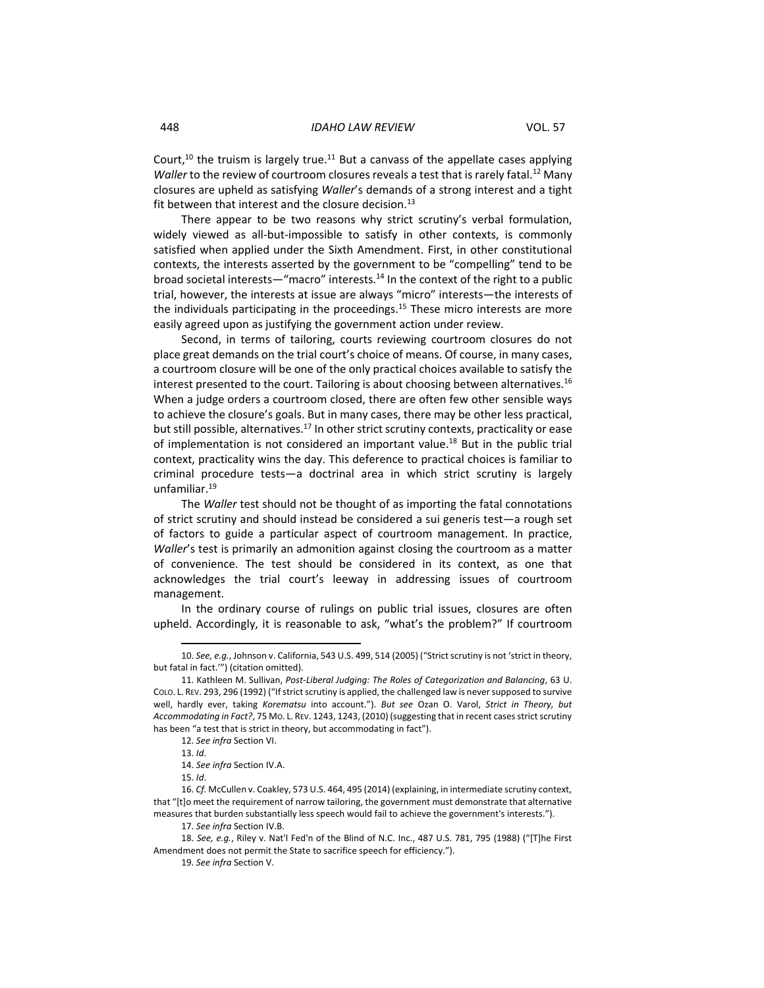Court,<sup>10</sup> the truism is largely true.<sup>11</sup> But a canvass of the appellate cases applying *Waller* to the review of courtroom closures reveals a test that is rarely fatal.<sup>12</sup> Many closures are upheld as satisfying *Waller*'s demands of a strong interest and a tight fit between that interest and the closure decision.<sup>13</sup>

There appear to be two reasons why strict scrutiny's verbal formulation, widely viewed as all-but-impossible to satisfy in other contexts, is commonly satisfied when applied under the Sixth Amendment. First, in other constitutional contexts, the interests asserted by the government to be "compelling" tend to be broad societal interests—"macro" interests.<sup>14</sup> In the context of the right to a public trial, however, the interests at issue are always "micro" interests—the interests of the individuals participating in the proceedings.<sup>15</sup> These micro interests are more easily agreed upon as justifying the government action under review.

Second, in terms of tailoring, courts reviewing courtroom closures do not place great demands on the trial court's choice of means. Of course, in many cases, a courtroom closure will be one of the only practical choices available to satisfy the interest presented to the court. Tailoring is about choosing between alternatives.<sup>16</sup> When a judge orders a courtroom closed, there are often few other sensible ways to achieve the closure's goals. But in many cases, there may be other less practical, but still possible, alternatives.<sup>17</sup> In other strict scrutiny contexts, practicality or ease of implementation is not considered an important value.<sup>18</sup> But in the public trial context, practicality wins the day. This deference to practical choices is familiar to criminal procedure tests—a doctrinal area in which strict scrutiny is largely unfamiliar. 19

The *Waller* test should not be thought of as importing the fatal connotations of strict scrutiny and should instead be considered a sui generis test—a rough set of factors to guide a particular aspect of courtroom management. In practice, *Waller*'s test is primarily an admonition against closing the courtroom as a matter of convenience. The test should be considered in its context, as one that acknowledges the trial court's leeway in addressing issues of courtroom management.

In the ordinary course of rulings on public trial issues, closures are often upheld. Accordingly, it is reasonable to ask, "what's the problem?" If courtroom

<sup>10.</sup> *See, e.g.*, Johnson v. California, 543 U.S. 499, 514 (2005) ("Strict scrutiny is not 'strict in theory, but fatal in fact.'") (citation omitted).

<sup>11.</sup> Kathleen M. Sullivan, *Post-Liberal Judging: The Roles of Categorization and Balancing*, 63 U. COLO. L. REV. 293, 296 (1992) ("If strict scrutiny is applied, the challenged law is never supposed to survive well, hardly ever, taking *Korematsu* into account."). *But see* Ozan O. Varol, *Strict in Theory, but Accommodating in Fact?*, 75 MO. L. REV. 1243, 1243, (2010) (suggesting that in recent cases strict scrutiny has been "a test that is strict in theory, but accommodating in fact").

<sup>12.</sup> *See infra* Section VI.

<sup>13.</sup> *Id*.

<sup>14.</sup> *See infra* Section IV.A.

<sup>15.</sup> *Id*.

<sup>16.</sup> *Cf.* McCullen v. Coakley, 573 U.S. 464, 495 (2014) (explaining, in intermediate scrutiny context, that "[t]o meet the requirement of narrow tailoring, the government must demonstrate that alternative measures that burden substantially less speech would fail to achieve the government's interests.").

<sup>17.</sup> *See infra* Section IV.B.

<sup>18.</sup> *See, e.g.*, Riley v. Nat'l Fed'n of the Blind of N.C. Inc., 487 U.S. 781, 795 (1988) ("[T]he First Amendment does not permit the State to sacrifice speech for efficiency.").

<sup>19.</sup> *See infra* Section V.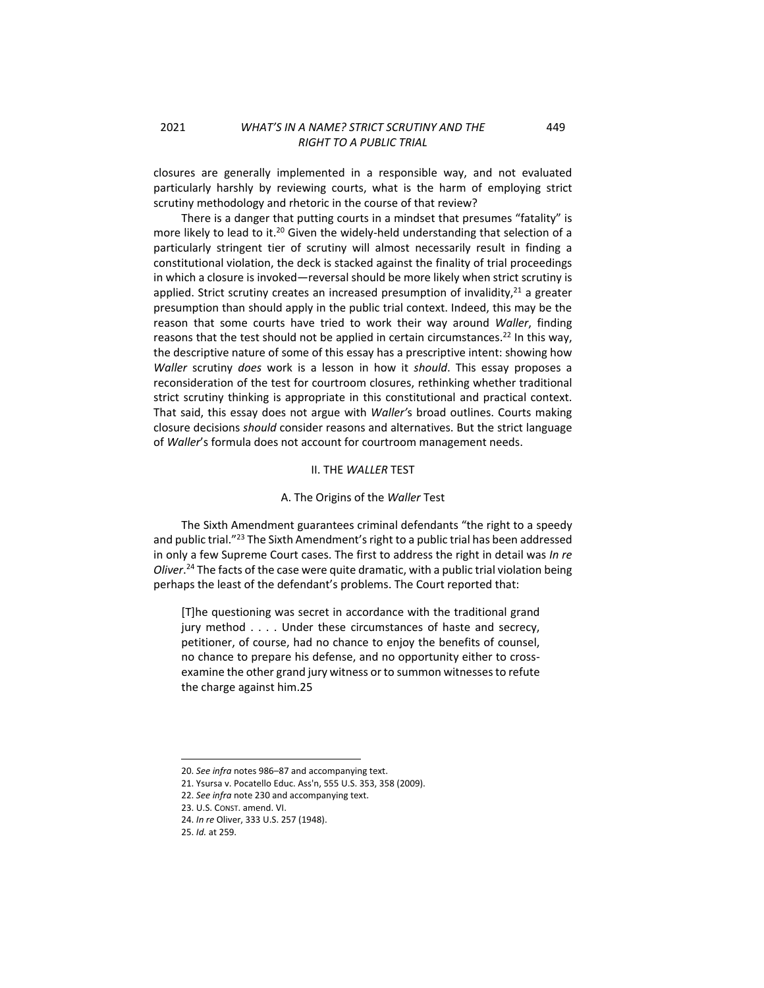closures are generally implemented in a responsible way, and not evaluated particularly harshly by reviewing courts, what is the harm of employing strict scrutiny methodology and rhetoric in the course of that review?

There is a danger that putting courts in a mindset that presumes "fatality" is more likely to lead to it.<sup>20</sup> Given the widely-held understanding that selection of a particularly stringent tier of scrutiny will almost necessarily result in finding a constitutional violation, the deck is stacked against the finality of trial proceedings in which a closure is invoked—reversal should be more likely when strict scrutiny is applied. Strict scrutiny creates an increased presumption of invalidity, $^{21}$  a greater presumption than should apply in the public trial context. Indeed, this may be the reason that some courts have tried to work their way around *Waller*, finding reasons that the test should not be applied in certain circumstances.<sup>22</sup> In this way, the descriptive nature of some of this essay has a prescriptive intent: showing how *Waller* scrutiny *does* work is a lesson in how it *should*. This essay proposes a reconsideration of the test for courtroom closures, rethinking whether traditional strict scrutiny thinking is appropriate in this constitutional and practical context. That said, this essay does not argue with *Waller'*s broad outlines. Courts making closure decisions *should* consider reasons and alternatives. But the strict language of *Waller*'s formula does not account for courtroom management needs.

#### II. THE *WALLER* TEST

### A. The Origins of the *Waller* Test

<span id="page-2-1"></span><span id="page-2-0"></span>The Sixth Amendment guarantees criminal defendants "the right to a speedy and public trial."<sup>23</sup> The Sixth Amendment's right to a public trial has been addressed in only a few Supreme Court cases. The first to address the right in detail was *In re Oliver*. <sup>24</sup> The facts of the case were quite dramatic, with a public trial violation being perhaps the least of the defendant's problems. The Court reported that:

[T]he questioning was secret in accordance with the traditional grand jury method . . . . Under these circumstances of haste and secrecy, petitioner, of course, had no chance to enjoy the benefits of counsel, no chance to prepare his defense, and no opportunity either to crossexamine the other grand jury witness or to summon witnesses to refute the charge against him.25

22. *See infra* note 230 and accompanying text.

<sup>20.</sup> *See infra* notes [986](#page-9-0)–[87](#page-9-1) and accompanying text.

<sup>21.</sup> Ysursa v. Pocatello Educ. Ass'n, 555 U.S. 353, 358 (2009).

<sup>23.</sup> U.S. CONST. amend. VI.

<sup>24.</sup> *In re* Oliver, 333 U.S. 257 (1948).

<sup>25.</sup> *Id.* at 259.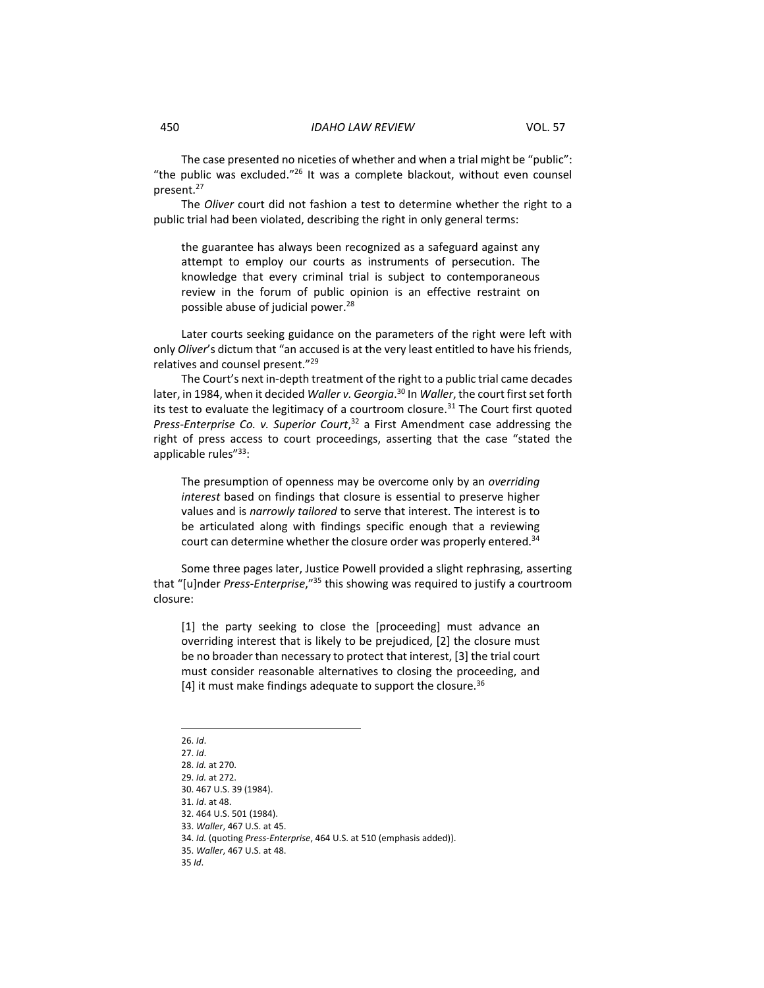The case presented no niceties of whether and when a trial might be "public": "the public was excluded."<sup>26</sup> It was a complete blackout, without even counsel present.<sup>27</sup>

The *Oliver* court did not fashion a test to determine whether the right to a public trial had been violated, describing the right in only general terms:

the guarantee has always been recognized as a safeguard against any attempt to employ our courts as instruments of persecution. The knowledge that every criminal trial is subject to contemporaneous review in the forum of public opinion is an effective restraint on possible abuse of judicial power.<sup>28</sup>

Later courts seeking guidance on the parameters of the right were left with only *Oliver*'s dictum that "an accused is at the very least entitled to have his friends, relatives and counsel present." 29

The Court's next in-depth treatment of the right to a public trial came decades later, in 1984, when it decided *Waller v. Georgia*. <sup>30</sup> In *Waller*, the court first set forth its test to evaluate the legitimacy of a courtroom closure. $31$  The Court first quoted *Press-Enterprise Co. v. Superior Court*, <sup>32</sup> a First Amendment case addressing the right of press access to court proceedings, asserting that the case "stated the applicable rules"33:

<span id="page-3-2"></span><span id="page-3-0"></span>The presumption of openness may be overcome only by an *overriding interest* based on findings that closure is essential to preserve higher values and is *narrowly tailored* to serve that interest. The interest is to be articulated along with findings specific enough that a reviewing court can determine whether the closure order was properly entered.<sup>34</sup>

Some three pages later, Justice Powell provided a slight rephrasing, asserting that "[u]nder *Press-Enterprise*,"<sup>35</sup> this showing was required to justify a courtroom closure:

[1] the party seeking to close the [proceeding] must advance an overriding interest that is likely to be prejudiced, [2] the closure must be no broader than necessary to protect that interest, [3] the trial court must consider reasonable alternatives to closing the proceeding, and [4] it must make findings adequate to support the closure.<sup>36</sup>

<span id="page-3-1"></span>26. *Id*.

27. *Id*. 28. *Id.* at 270. 29. *Id.* at 272. 30. 467 U.S. 39 (1984). 31. *Id*. at 48. 32. 464 U.S. 501 (1984). 33. *Waller*, 467 U.S. at 45. 34. *Id.* (quoting *Press-Enterprise*, 464 U.S. at 510 (emphasis added)). 35. *Waller*, 467 U.S. at 48. 35 *Id*.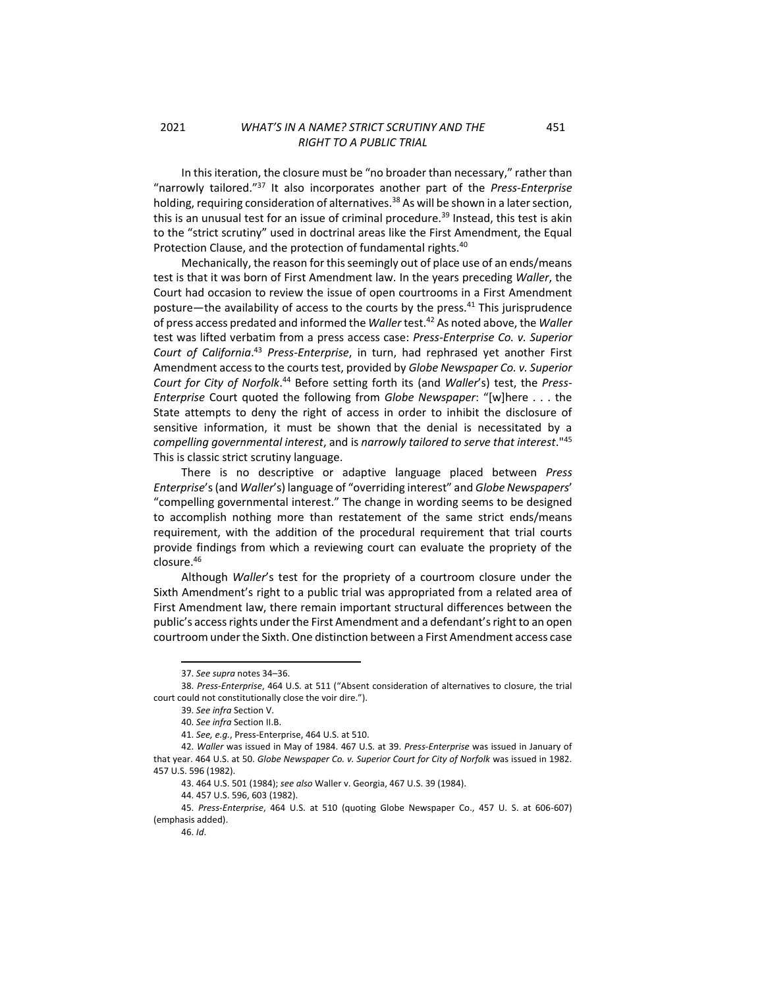<span id="page-4-0"></span>In this iteration, the closure must be "no broader than necessary," rather than "narrowly tailored."<sup>37</sup> It also incorporates another part of the *Press-Enterprise* holding, requiring consideration of alternatives.<sup>38</sup> As will be shown in a later section, this is an unusual test for an issue of criminal procedure.<sup>39</sup> Instead, this test is akin to the "strict scrutiny" used in doctrinal areas like the First Amendment, the Equal Protection Clause, and the protection of fundamental rights.<sup>40</sup>

Mechanically, the reason for this seemingly out of place use of an ends/means test is that it was born of First Amendment law. In the years preceding *Waller*, the Court had occasion to review the issue of open courtrooms in a First Amendment posture—the availability of access to the courts by the press. $41$  This jurisprudence of press access predated and informed the *Waller* test.<sup>42</sup> As noted above, the *Waller* test was lifted verbatim from a press access case: *Press-Enterprise Co. v. Superior Court of California*. <sup>43</sup> *Press-Enterprise*, in turn, had rephrased yet another First Amendment access to the courts test, provided by *Globe Newspaper Co. v. Superior Court for City of Norfolk*. <sup>44</sup> Before setting forth its (and *Waller*'s) test, the *Press-Enterprise* Court quoted the following from *Globe Newspaper*: "[w]here . . . the State attempts to deny the right of access in order to inhibit the disclosure of sensitive information, it must be shown that the denial is necessitated by a *compelling governmental interest*, and is *narrowly tailored to serve that interest*."<sup>45</sup> This is classic strict scrutiny language.

There is no descriptive or adaptive language placed between *Press Enterprise*'s(and *Waller*'s) language of "overriding interest" and *Globe Newspapers*' "compelling governmental interest." The change in wording seems to be designed to accomplish nothing more than restatement of the same strict ends/means requirement, with the addition of the procedural requirement that trial courts provide findings from which a reviewing court can evaluate the propriety of the closure.<sup>46</sup>

<span id="page-4-1"></span>Although *Waller*'s test for the propriety of a courtroom closure under the Sixth Amendment's right to a public trial was appropriated from a related area of First Amendment law, there remain important structural differences between the public's access rights under the First Amendment and a defendant's right to an open courtroom under the Sixth. One distinction between a First Amendment access case

<sup>37.</sup> *See supra* note[s 34](#page-3-0)–[36.](#page-3-1)

<sup>38.</sup> *Press-Enterprise*, 464 U.S. at 511 ("Absent consideration of alternatives to closure, the trial court could not constitutionally close the voir dire.").

<sup>39.</sup> *See infra* Section V.

<sup>40.</sup> *See infra* Section II.B.

<sup>41.</sup> *See, e.g.*, Press-Enterprise, 464 U.S. at 510.

<sup>42.</sup> *Waller* was issued in May of 1984. 467 U.S. at 39. *Press-Enterprise* was issued in January of that year. 464 U.S. at 50. *Globe Newspaper Co. v. Superior Court for City of Norfolk* was issued in 1982. 457 U.S. 596 (1982).

<sup>43.</sup> 464 U.S. 501 (1984); *see also* Waller v. Georgia, 467 U.S. 39 (1984).

<sup>44.</sup> 457 U.S. 596, 603 (1982).

<sup>45.</sup> *Press-Enterprise*, 464 U.S. at 510 (quoting Globe Newspaper Co., 457 U. S. at 606-607) (emphasis added).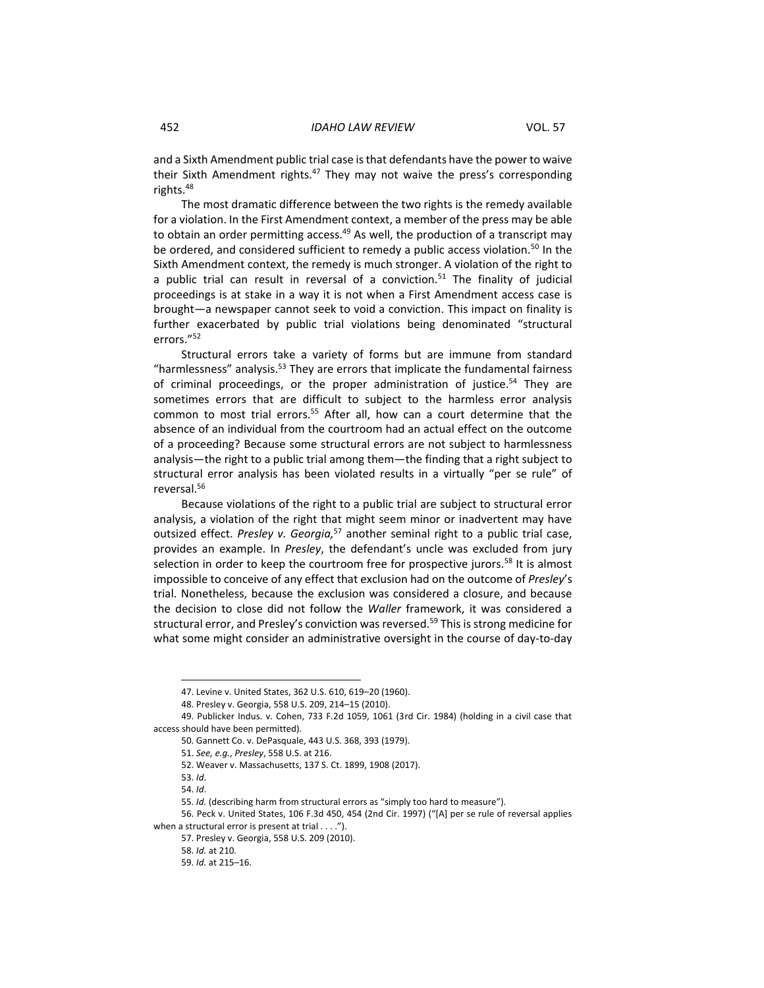and a Sixth Amendment public trial case is that defendants have the power to waive their Sixth Amendment rights.<sup>47</sup> They may not waive the press's corresponding rights.<sup>48</sup>

The most dramatic difference between the two rights is the remedy available for a violation. In the First Amendment context, a member of the press may be able to obtain an order permitting access.<sup>49</sup> As well, the production of a transcript may be ordered, and considered sufficient to remedy a public access violation.<sup>50</sup> In the Sixth Amendment context, the remedy is much stronger. A violation of the right to a public trial can result in reversal of a conviction.<sup>51</sup> The finality of judicial proceedings is at stake in a way it is not when a First Amendment access case is brought—a newspaper cannot seek to void a conviction. This impact on finality is further exacerbated by public trial violations being denominated "structural errors."<sup>52</sup>

Structural errors take a variety of forms but are immune from standard "harmlessness" analysis.<sup>53</sup> They are errors that implicate the fundamental fairness of criminal proceedings, or the proper administration of justice.<sup>54</sup> They are sometimes errors that are difficult to subject to the harmless error analysis common to most trial errors.<sup>55</sup> After all, how can a court determine that the absence of an individual from the courtroom had an actual effect on the outcome of a proceeding? Because some structural errors are not subject to harmlessness analysis—the right to a public trial among them—the finding that a right subject to structural error analysis has been violated results in a virtually "per se rule" of reversal.<sup>56</sup>

Because violations of the right to a public trial are subject to structural error analysis, a violation of the right that might seem minor or inadvertent may have outsized effect. *Presley v. Georgia,* <sup>57</sup> another seminal right to a public trial case, provides an example. In *Presley*, the defendant's uncle was excluded from jury selection in order to keep the courtroom free for prospective jurors.<sup>58</sup> It is almost impossible to conceive of any effect that exclusion had on the outcome of *Presley*'s trial. Nonetheless, because the exclusion was considered a closure, and because the decision to close did not follow the *Waller* framework, it was considered a structural error, and Presley's conviction was reversed.<sup>59</sup> This is strong medicine for what some might consider an administrative oversight in the course of day-to-day

<sup>47.</sup> Levine v. United States, 362 U.S. 610, 619–20 (1960).

<sup>48.</sup> Presley v. Georgia, 558 U.S. 209, 214–15 (2010).

<sup>49.</sup> Publicker Indus. v. Cohen, 733 F.2d 1059, 1061 (3rd Cir. 1984) (holding in a civil case that access should have been permitted).

<sup>50.</sup> Gannett Co. v. DePasquale, 443 U.S. 368, 393 (1979).

<sup>51.</sup> *See, e.g.*, *Presley*, 558 U.S. at 216.

<sup>52.</sup> Weaver v. Massachusetts, 137 S. Ct. 1899, 1908 (2017).

<sup>53.</sup> *Id*.

<sup>54.</sup> *Id*.

<sup>55.</sup> *Id.* (describing harm from structural errors as "simply too hard to measure").

<sup>56.</sup> Peck v. United States, 106 F.3d 450, 454 (2nd Cir. 1997) ("[A] per se rule of reversal applies when a structural error is present at trial . . . .").

<sup>57.</sup> Presley v. Georgia, 558 U.S. 209 (2010).

<sup>58.</sup> *Id.* at 210.

<sup>59.</sup> *Id.* at 215–16.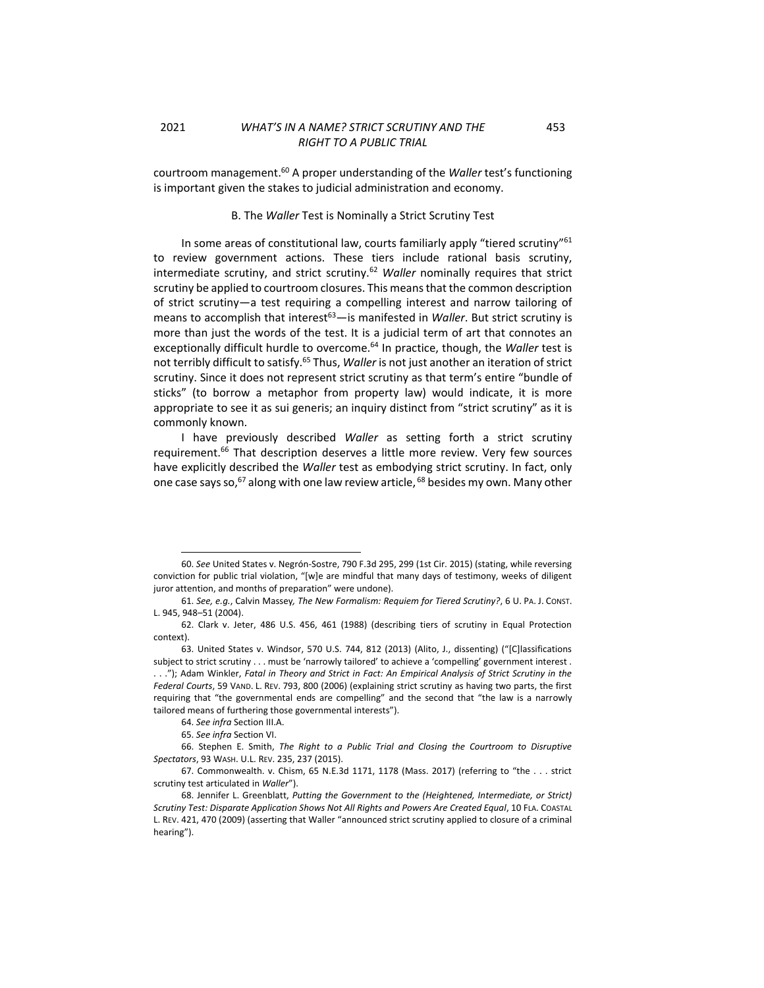<span id="page-6-0"></span>courtroom management. <sup>60</sup> A proper understanding of the *Waller* test's functioning is important given the stakes to judicial administration and economy.

### <span id="page-6-1"></span>B. The *Waller* Test is Nominally a Strict Scrutiny Test

In some areas of constitutional law, courts familiarly apply "tiered scrutiny"<sup>61</sup> to review government actions. These tiers include rational basis scrutiny, intermediate scrutiny, and strict scrutiny.<sup>62</sup> *Waller* nominally requires that strict scrutiny be applied to courtroom closures. This means that the common description of strict scrutiny—a test requiring a compelling interest and narrow tailoring of means to accomplish that interest<sup>63</sup>—is manifested in *Waller*. But strict scrutiny is more than just the words of the test. It is a judicial term of art that connotes an exceptionally difficult hurdle to overcome.<sup>64</sup> In practice, though, the *Waller* test is not terribly difficult to satisfy.<sup>65</sup> Thus, *Waller* is not just another an iteration of strict scrutiny. Since it does not represent strict scrutiny as that term's entire "bundle of sticks" (to borrow a metaphor from property law) would indicate, it is more appropriate to see it as sui generis; an inquiry distinct from "strict scrutiny" as it is commonly known.

I have previously described *Waller* as setting forth a strict scrutiny requirement.<sup>66</sup> That description deserves a little more review. Very few sources have explicitly described the *Waller* test as embodying strict scrutiny. In fact, only one case says so,<sup>67</sup> along with one law review article, <sup>68</sup> besides my own. Many other

<sup>60.</sup> *See* United States v. Negrón-Sostre, 790 F.3d 295, 299 (1st Cir. 2015) (stating, while reversing conviction for public trial violation, "[w]e are mindful that many days of testimony, weeks of diligent juror attention, and months of preparation" were undone).

<sup>61.</sup> *See, e.g.*, Calvin Massey*, The New Formalism: Requiem for Tiered Scrutiny?*, 6 U. PA. J. CONST. L. 945, 948–51 (2004).

<sup>62.</sup> Clark v. Jeter, 486 U.S. 456, 461 (1988) (describing tiers of scrutiny in Equal Protection context).

<sup>63.</sup> United States v. Windsor, 570 U.S. 744, 812 (2013) (Alito, J., dissenting) ("[C]lassifications subject to strict scrutiny . . . must be 'narrowly tailored' to achieve a 'compelling' government interest . . . ."); Adam Winkler, *Fatal in Theory and Strict in Fact: An Empirical Analysis of Strict Scrutiny in the Federal Courts*, 59 VAND. L. REV. 793, 800 (2006) (explaining strict scrutiny as having two parts, the first requiring that "the governmental ends are compelling" and the second that "the law is a narrowly tailored means of furthering those governmental interests").

<sup>64.</sup> *See infra* Section III.A.

<sup>65.</sup> *See infra* Section VI.

<sup>66.</sup> Stephen E. Smith, *The Right to a Public Trial and Closing the Courtroom to Disruptive Spectators*, 93 WASH. U.L. REV. 235, 237 (2015).

<sup>67.</sup> Commonwealth. v. Chism, 65 N.E.3d 1171, 1178 (Mass. 2017) (referring to "the . . . strict scrutiny test articulated in *Waller*").

<sup>68.</sup> Jennifer L. Greenblatt, *Putting the Government to the (Heightened, Intermediate, or Strict) Scrutiny Test: Disparate Application Shows Not All Rights and Powers Are Created Equal*, 10 FLA. COASTAL L. REV. 421, 470 (2009) (asserting that Waller "announced strict scrutiny applied to closure of a criminal hearing").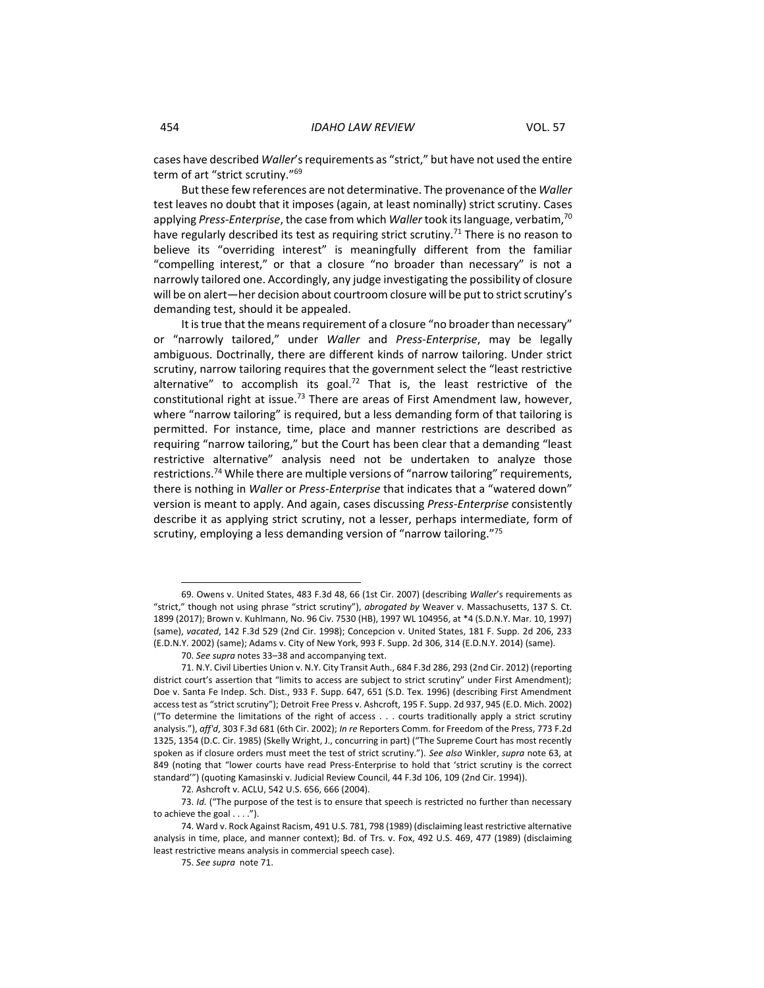cases have described *Waller*'s requirements as "strict," but have not used the entire term of art "strict scrutiny."<sup>69</sup>

But these few references are not determinative. The provenance of the *Waller* test leaves no doubt that it imposes (again, at least nominally) strict scrutiny. Cases applying *Press-Enterprise*, the case from which *Waller* took its language, verbatim, 70 have regularly described its test as requiring strict scrutiny.<sup>71</sup> There is no reason to believe its "overriding interest" is meaningfully different from the familiar "compelling interest," or that a closure "no broader than necessary" is not a narrowly tailored one. Accordingly, any judge investigating the possibility of closure will be on alert—her decision about courtroom closure will be put to strict scrutiny's demanding test, should it be appealed.

It is true that the means requirement of a closure "no broader than necessary" or "narrowly tailored," under *Waller* and *Press-Enterprise*, may be legally ambiguous. Doctrinally, there are different kinds of narrow tailoring. Under strict scrutiny, narrow tailoring requires that the government select the "least restrictive alternative" to accomplish its goal.<sup>72</sup> That is, the least restrictive of the constitutional right at issue.<sup>73</sup> There are areas of First Amendment law, however, where "narrow tailoring" is required, but a less demanding form of that tailoring is permitted. For instance, time, place and manner restrictions are described as requiring "narrow tailoring," but the Court has been clear that a demanding "least restrictive alternative" analysis need not be undertaken to analyze those restrictions. <sup>74</sup> While there are multiple versions of "narrow tailoring" requirements, there is nothing in *Waller* or *Press-Enterprise* that indicates that a "watered down" version is meant to apply. And again, cases discussing *Press-Enterprise* consistently describe it as applying strict scrutiny, not a lesser, perhaps intermediate, form of scrutiny, employing a less demanding version of "narrow tailoring."75

<sup>69.</sup> Owens v. United States, 483 F.3d 48, 66 (1st Cir. 2007) (describing *Waller*'s requirements as "strict," though not using phrase "strict scrutiny"), *abrogated by* Weaver v. Massachusetts, 137 S. Ct. 1899 (2017); Brown v. Kuhlmann, No. 96 Civ. 7530 (HB), 1997 WL 104956, at \*4 (S.D.N.Y. Mar. 10, 1997) (same), *vacated*, 142 F.3d 529 (2nd Cir. 1998); Concepcion v. United States, 181 F. Supp. 2d 206, 233 (E.D.N.Y. 2002) (same); Adams v. City of New York, 993 F. Supp. 2d 306, 314 (E.D.N.Y. 2014) (same).

<sup>70.</sup> *See supra* note[s 33](#page-3-2)–[38](#page-4-0) and accompanying text.

<sup>71.</sup> N.Y. Civil Liberties Union v. N.Y. City Transit Auth., 684 F.3d 286, 293 (2nd Cir. 2012) (reporting district court's assertion that "limits to access are subject to strict scrutiny" under First Amendment); Doe v. Santa Fe Indep. Sch. Dist., 933 F. Supp. 647, 651 (S.D. Tex. 1996) (describing First Amendment access test as "strict scrutiny"); Detroit Free Press v. Ashcroft, 195 F. Supp. 2d 937, 945 (E.D. Mich. 2002) ("To determine the limitations of the right of access . . . courts traditionally apply a strict scrutiny analysis."), *aff'd*, 303 F.3d 681 (6th Cir. 2002); *In re* Reporters Comm. for Freedom of the Press, 773 F.2d 1325, 1354 (D.C. Cir. 1985) (Skelly Wright, J., concurring in part) ("The Supreme Court has most recently spoken as if closure orders must meet the test of strict scrutiny."). *See also* Winkler, *supra* note 63, at 849 (noting that "lower courts have read Press-Enterprise to hold that 'strict scrutiny is the correct standard'") (quoting Kamasinski v. Judicial Review Council, 44 F.3d 106, 109 (2nd Cir. 1994)).

<sup>72.</sup> Ashcroft v. ACLU, 542 U.S. 656, 666 (2004).

<sup>73.</sup> *Id.* ("The purpose of the test is to ensure that speech is restricted no further than necessary to achieve the goal  $\dots$ .").

<sup>74.</sup> Ward v. Rock Against Racism, 491 U.S. 781, 798 (1989) (disclaiming least restrictive alternative analysis in time, place, and manner context); Bd. of Trs. v. Fox, 492 U.S. 469, 477 (1989) (disclaiming least restrictive means analysis in commercial speech case).

<sup>75.</sup> *See supra* note 71.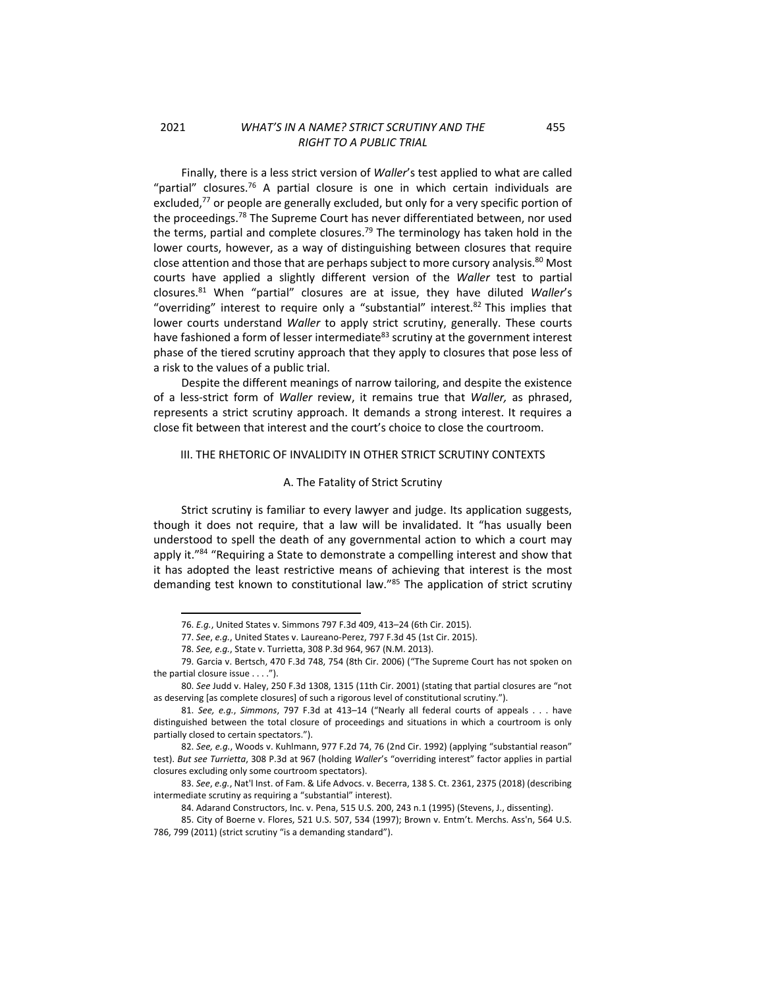<span id="page-8-2"></span>Finally, there is a less strict version of *Waller*'s test applied to what are called "partial" closures.<sup>76</sup> A partial closure is one in which certain individuals are excluded, $^{77}$  or people are generally excluded, but only for a very specific portion of the proceedings.<sup>78</sup> The Supreme Court has never differentiated between, nor used the terms, partial and complete closures.<sup>79</sup> The terminology has taken hold in the lower courts, however, as a way of distinguishing between closures that require close attention and those that are perhaps subject to more cursory analysis. $^{80}$  Most courts have applied a slightly different version of the *Waller* test to partial closures.<sup>81</sup> When "partial" closures are at issue, they have diluted *Waller*'s "overriding" interest to require only a "substantial" interest. $82$  This implies that lower courts understand *Waller* to apply strict scrutiny, generally. These courts have fashioned a form of lesser intermediate $^{83}$  scrutiny at the government interest phase of the tiered scrutiny approach that they apply to closures that pose less of a risk to the values of a public trial.

Despite the different meanings of narrow tailoring, and despite the existence of a less-strict form of *Waller* review, it remains true that *Waller,* as phrased, represents a strict scrutiny approach. It demands a strong interest. It requires a close fit between that interest and the court's choice to close the courtroom.

### <span id="page-8-0"></span>III. THE RHETORIC OF INVALIDITY IN OTHER STRICT SCRUTINY CONTEXTS

### <span id="page-8-3"></span>A. The Fatality of Strict Scrutiny

<span id="page-8-1"></span>Strict scrutiny is familiar to every lawyer and judge. Its application suggests, though it does not require, that a law will be invalidated. It "has usually been understood to spell the death of any governmental action to which a court may apply it."<sup>84</sup> "Requiring a State to demonstrate a compelling interest and show that it has adopted the least restrictive means of achieving that interest is the most demanding test known to constitutional law."<sup>85</sup> The application of strict scrutiny

<sup>76.</sup> *E.g.*, United States v. Simmons 797 F.3d 409, 413–24 (6th Cir. 2015).

<sup>77.</sup> *See*, *e.g.*, United States v. Laureano-Perez, 797 F.3d 45 (1st Cir. 2015).

<sup>78.</sup> *See, e.g.*, State v. Turrietta, 308 P.3d 964, 967 (N.M. 2013).

<sup>79.</sup> Garcia v. Bertsch, 470 F.3d 748, 754 (8th Cir. 2006) ("The Supreme Court has not spoken on the partial closure issue . . . .").

<sup>80.</sup> *See* Judd v. Haley, 250 F.3d 1308, 1315 (11th Cir. 2001) (stating that partial closures are "not as deserving [as complete closures] of such a rigorous level of constitutional scrutiny.").

<sup>81.</sup> *See, e.g.*, *Simmons*, 797 F.3d at 413–14 ("Nearly all federal courts of appeals . . . have distinguished between the total closure of proceedings and situations in which a courtroom is only partially closed to certain spectators.").

<sup>82.</sup> *See, e.g.*, Woods v. Kuhlmann, 977 F.2d 74, 76 (2nd Cir. 1992) (applying "substantial reason" test). *But see Turrietta*, 308 P.3d at 967 (holding *Waller*'s "overriding interest" factor applies in partial closures excluding only some courtroom spectators).

<sup>83.</sup> *See*, *e.g.*, Nat'l Inst. of Fam. & Life Advocs. v. Becerra, 138 S. Ct. 2361, 2375 (2018) (describing intermediate scrutiny as requiring a "substantial" interest).

<sup>84.</sup> Adarand Constructors, Inc. v. Pena, 515 U.S. 200, 243 n.1 (1995) (Stevens, J., dissenting).

<sup>85.</sup> City of Boerne v. Flores, 521 U.S. 507, 534 (1997); Brown v. Entm't. Merchs. Ass'n, 564 U.S. 786, 799 (2011) (strict scrutiny "is a demanding standard").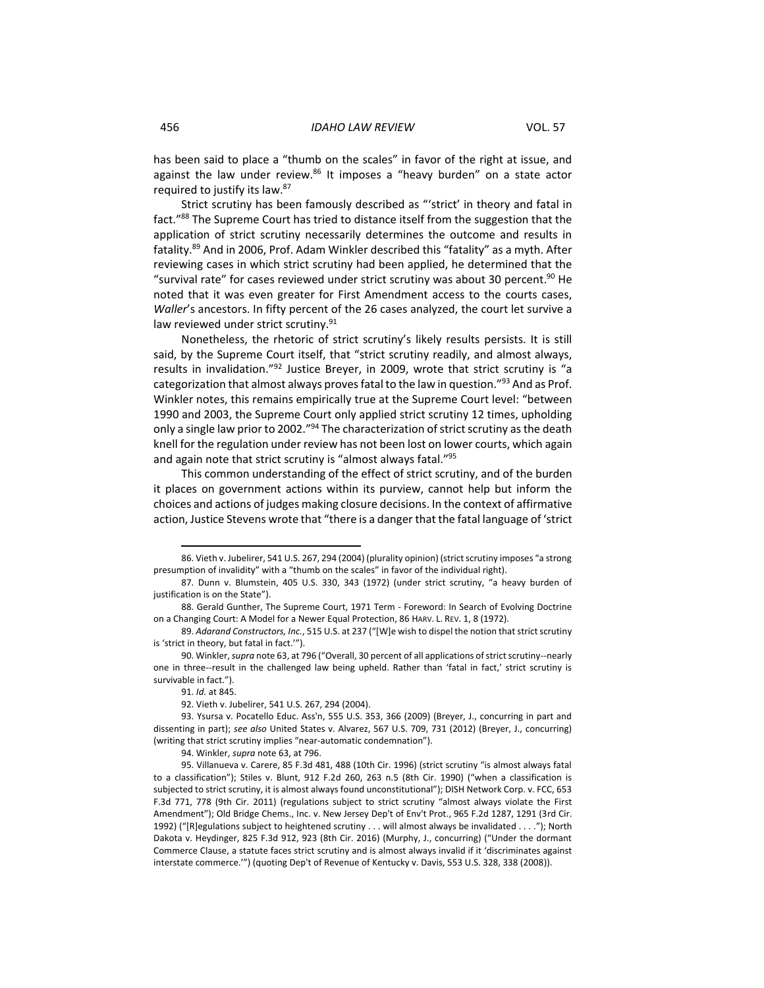<span id="page-9-0"></span>has been said to place a "thumb on the scales" in favor of the right at issue, and against the law under review.<sup>86</sup> It imposes a "heavy burden" on a state actor required to justify its law.<sup>87</sup>

<span id="page-9-1"></span>Strict scrutiny has been famously described as "'strict' in theory and fatal in fact."<sup>88</sup> The Supreme Court has tried to distance itself from the suggestion that the application of strict scrutiny necessarily determines the outcome and results in fatality.<sup>89</sup> And in 2006, Prof. Adam Winkler described this "fatality" as a myth. After reviewing cases in which strict scrutiny had been applied, he determined that the "survival rate" for cases reviewed under strict scrutiny was about 30 percent.<sup>90</sup> He noted that it was even greater for First Amendment access to the courts cases, *Waller*'s ancestors. In fifty percent of the 26 cases analyzed, the court let survive a law reviewed under strict scrutiny.<sup>91</sup>

Nonetheless, the rhetoric of strict scrutiny's likely results persists. It is still said, by the Supreme Court itself, that "strict scrutiny readily, and almost always, results in invalidation."<sup>92</sup> Justice Breyer, in 2009, wrote that strict scrutiny is "a categorization that almost always proves fatal to the law in question."<sup>93</sup> And as Prof. Winkler notes, this remains empirically true at the Supreme Court level: "between 1990 and 2003, the Supreme Court only applied strict scrutiny 12 times, upholding only a single law prior to 2002."<sup>94</sup> The characterization of strict scrutiny as the death knell for the regulation under review has not been lost on lower courts, which again and again note that strict scrutiny is "almost always fatal."<sup>95</sup>

This common understanding of the effect of strict scrutiny, and of the burden it places on government actions within its purview, cannot help but inform the choices and actions of judges making closure decisions. In the context of affirmative action, Justice Stevens wrote that "there is a danger that the fatal language of 'strict

<sup>86.</sup> Vieth v. Jubelirer, 541 U.S. 267, 294 (2004) (plurality opinion) (strict scrutiny imposes "a strong presumption of invalidity" with a "thumb on the scales" in favor of the individual right).

<sup>87.</sup> Dunn v. Blumstein, 405 U.S. 330, 343 (1972) (under strict scrutiny, "a heavy burden of justification is on the State").

<sup>88.</sup> Gerald Gunther, The Supreme Court, 1971 Term - Foreword: In Search of Evolving Doctrine on a Changing Court: A Model for a Newer Equal Protection, 86 HARV. L. REV. 1, 8 (1972).

<sup>89.</sup> *Adarand Constructors, Inc.*, 515 U.S. at 237 ("[W]e wish to dispel the notion that strict scrutiny is 'strict in theory, but fatal in fact.'").

<sup>90.</sup> Winkler, *supra* note 63, at 796 ("Overall, 30 percent of all applications of strict scrutiny--nearly one in three--result in the challenged law being upheld. Rather than 'fatal in fact,' strict scrutiny is survivable in fact.").

<sup>91.</sup> *Id.* at 845.

<sup>92.</sup> Vieth v. Jubelirer, 541 U.S. 267, 294 (2004).

<sup>93.</sup> Ysursa v. Pocatello Educ. Ass'n, 555 U.S. 353, 366 (2009) (Breyer, J., concurring in part and dissenting in part); *see also* United States v. Alvarez, 567 U.S. 709, 731 (2012) (Breyer, J., concurring) (writing that strict scrutiny implies "near-automatic condemnation").

<sup>94.</sup> Winkler, *supra* not[e 63,](#page-6-1) at 796.

<sup>95.</sup> Villanueva v. Carere, 85 F.3d 481, 488 (10th Cir. 1996) (strict scrutiny "is almost always fatal to a classification"); Stiles v. Blunt, 912 F.2d 260, 263 n.5 (8th Cir. 1990) ("when a classification is subjected to strict scrutiny, it is almost always found unconstitutional"); DISH Network Corp. v. FCC, 653 F.3d 771, 778 (9th Cir. 2011) (regulations subject to strict scrutiny "almost always violate the First Amendment"); Old Bridge Chems., Inc. v. New Jersey Dep't of Env't Prot., 965 F.2d 1287, 1291 (3rd Cir. 1992) ("[R]egulations subject to heightened scrutiny . . . will almost always be invalidated . . . ."); North Dakota v. Heydinger, 825 F.3d 912, 923 (8th Cir. 2016) (Murphy, J., concurring) ("Under the dormant Commerce Clause, a statute faces strict scrutiny and is almost always invalid if it 'discriminates against interstate commerce.'") (quoting Dep't of Revenue of Kentucky v. Davis, 553 U.S. 328, 338 (2008)).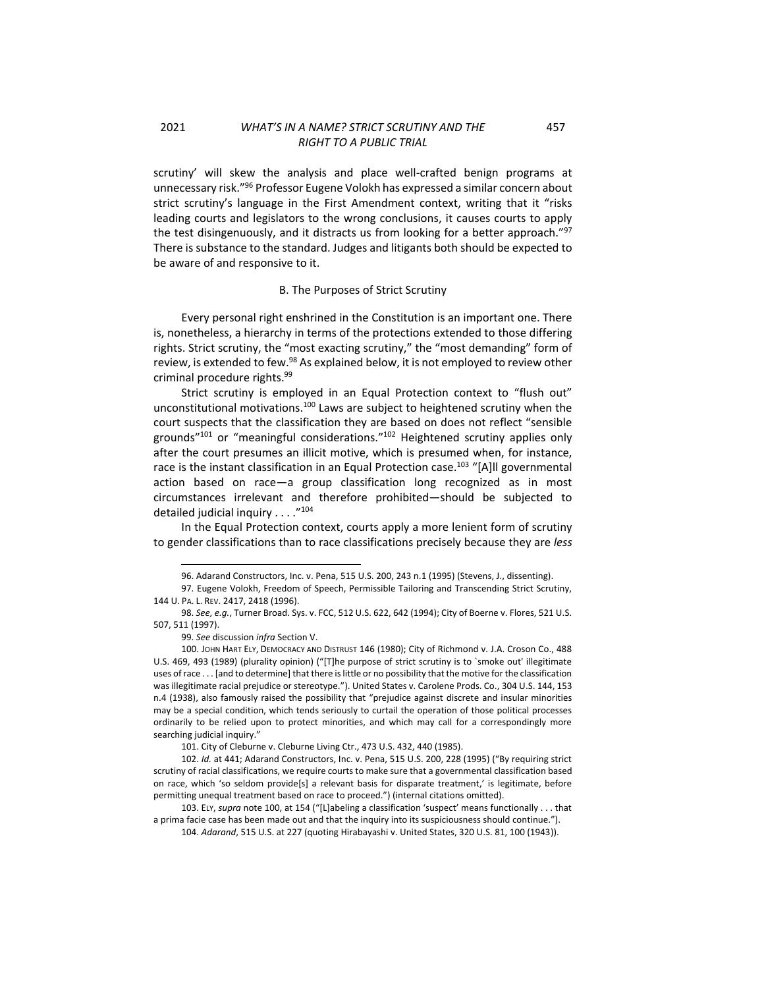scrutiny' will skew the analysis and place well-crafted benign programs at unnecessary risk."<sup>96</sup> Professor Eugene Volokh has expressed a similar concern about strict scrutiny's language in the First Amendment context, writing that it "risks leading courts and legislators to the wrong conclusions, it causes courts to apply the test disingenuously, and it distracts us from looking for a better approach."<sup>97</sup> There is substance to the standard. Judges and litigants both should be expected to be aware of and responsive to it.

### B. The Purposes of Strict Scrutiny

<span id="page-10-0"></span>Every personal right enshrined in the Constitution is an important one. There is, nonetheless, a hierarchy in terms of the protections extended to those differing rights. Strict scrutiny, the "most exacting scrutiny," the "most demanding" form of review, is extended to few.<sup>98</sup> As explained below, it is not employed to review other criminal procedure rights. 99

Strict scrutiny is employed in an Equal Protection context to "flush out" unconstitutional motivations.<sup>100</sup> Laws are subject to heightened scrutiny when the court suspects that the classification they are based on does not reflect "sensible grounds"<sup>101</sup> or "meaningful considerations."<sup>102</sup> Heightened scrutiny applies only after the court presumes an illicit motive, which is presumed when, for instance, race is the instant classification in an Equal Protection case.<sup>103</sup> "[A]II governmental action based on race—a group classification long recognized as in most circumstances irrelevant and therefore prohibited—should be subjected to detailed judicial inquiry . . . . "104

In the Equal Protection context, courts apply a more lenient form of scrutiny to gender classifications than to race classifications precisely because they are *less*

457

<sup>96.</sup> Adarand Constructors, Inc. v. Pena, 515 U.S. 200, 243 n.1 (1995) (Stevens, J., dissenting).

<sup>97.</sup> Eugene Volokh, Freedom of Speech, Permissible Tailoring and Transcending Strict Scrutiny, 144 U. PA. L. REV. 2417, 2418 (1996).

<sup>98.</sup> *See, e.g.*, Turner Broad. Sys. v. FCC, 512 U.S. 622, 642 (1994); City of Boerne v. Flores, 521 U.S. 507, 511 (1997).

<sup>99.</sup> *See* discussion *infra* Section V.

<sup>100.</sup> JOHN HART ELY, DEMOCRACY AND DISTRUST 146 (1980); City of Richmond v. J.A. Croson Co., 488 U.S. 469, 493 (1989) (plurality opinion) ("[T]he purpose of strict scrutiny is to `smoke out' illegitimate uses of race . . . [and to determine] that there is little or no possibility that the motive for the classification was illegitimate racial prejudice or stereotype."). United States v. Carolene Prods. Co., 304 U.S. 144, 153 n.4 (1938), also famously raised the possibility that "prejudice against discrete and insular minorities may be a special condition, which tends seriously to curtail the operation of those political processes ordinarily to be relied upon to protect minorities, and which may call for a correspondingly more searching judicial inquiry."

<sup>101.</sup> City of Cleburne v. Cleburne Living Ctr., 473 U.S. 432, 440 (1985).

<sup>102.</sup> *Id.* at 441; Adarand Constructors, Inc. v. Pena, 515 U.S. 200, 228 (1995) ("By requiring strict scrutiny of racial classifications, we require courts to make sure that a governmental classification based on race, which 'so seldom provide[s] a relevant basis for disparate treatment,' is legitimate, before permitting unequal treatment based on race to proceed.") (internal citations omitted).

<sup>103.</sup> ELY, *supra* note 100, at 154 ("[L]abeling a classification 'suspect' means functionally . . . that a prima facie case has been made out and that the inquiry into its suspiciousness should continue.").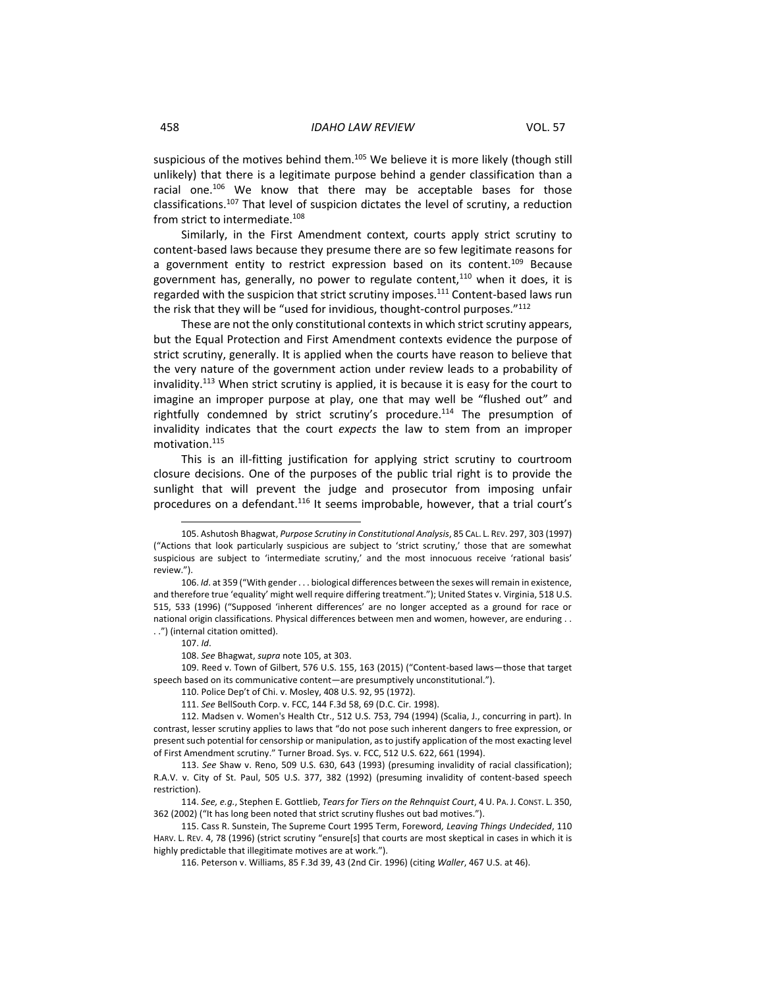suspicious of the motives behind them.<sup>105</sup> We believe it is more likely (though still unlikely) that there is a legitimate purpose behind a gender classification than a racial one.<sup>106</sup> We know that there may be acceptable bases for those classifications.<sup>107</sup> That level of suspicion dictates the level of scrutiny, a reduction from strict to intermediate.<sup>108</sup>

Similarly, in the First Amendment context, courts apply strict scrutiny to content-based laws because they presume there are so few legitimate reasons for a government entity to restrict expression based on its content.<sup>109</sup> Because government has, generally, no power to regulate content, $110$  when it does, it is regarded with the suspicion that strict scrutiny imposes.<sup>111</sup> Content-based laws run the risk that they will be "used for invidious, thought-control purposes."112

These are not the only constitutional contexts in which strict scrutiny appears, but the Equal Protection and First Amendment contexts evidence the purpose of strict scrutiny, generally. It is applied when the courts have reason to believe that the very nature of the government action under review leads to a probability of invalidity.<sup>113</sup> When strict scrutiny is applied, it is because it is easy for the court to imagine an improper purpose at play, one that may well be "flushed out" and rightfully condemned by strict scrutiny's procedure.<sup>114</sup> The presumption of invalidity indicates that the court *expects* the law to stem from an improper motivation.<sup>115</sup>

This is an ill-fitting justification for applying strict scrutiny to courtroom closure decisions. One of the purposes of the public trial right is to provide the sunlight that will prevent the judge and prosecutor from imposing unfair procedures on a defendant.<sup>116</sup> It seems improbable, however, that a trial court's

109. Reed v. Town of Gilbert, 576 U.S. 155, 163 (2015) ("Content-based laws—those that target speech based on its communicative content—are presumptively unconstitutional.").

<sup>105.</sup> Ashutosh Bhagwat, *Purpose Scrutiny in Constitutional Analysis*, 85 CAL. L. REV. 297, 303 (1997) ("Actions that look particularly suspicious are subject to 'strict scrutiny,' those that are somewhat suspicious are subject to 'intermediate scrutiny,' and the most innocuous receive 'rational basis' review.").

<sup>106.</sup> *Id*. at 359 ("With gender . . . biological differences between the sexes will remain in existence, and therefore true 'equality' might well require differing treatment."); United States v. Virginia, 518 U.S. 515, 533 (1996) ("Supposed 'inherent differences' are no longer accepted as a ground for race or national origin classifications. Physical differences between men and women, however, are enduring . . . .") (internal citation omitted).

<sup>107.</sup> *Id*.

<sup>108.</sup> *See* Bhagwat, *supra* note 105, at 303.

<sup>110.</sup> Police Dep't of Chi. v. Mosley, 408 U.S. 92, 95 (1972).

<sup>111.</sup> *See* BellSouth Corp. v. FCC, 144 F.3d 58, 69 (D.C. Cir. 1998).

<sup>112.</sup> Madsen v. Women's Health Ctr., 512 U.S. 753, 794 (1994) (Scalia, J., concurring in part). In contrast, lesser scrutiny applies to laws that "do not pose such inherent dangers to free expression, or present such potential for censorship or manipulation, as to justify application of the most exacting level of First Amendment scrutiny." Turner Broad. Sys. v. FCC, 512 U.S. 622, 661 (1994).

<sup>113.</sup> *See* Shaw v. Reno, 509 U.S. 630, 643 (1993) (presuming invalidity of racial classification); R.A.V. v. City of St. Paul, 505 U.S. 377, 382 (1992) (presuming invalidity of content-based speech restriction).

<sup>114.</sup> *See, e.g.*, Stephen E. Gottlieb, *Tears for Tiers on the Rehnquist Court*, 4 U. PA. J. CONST. L. 350, 362 (2002) ("It has long been noted that strict scrutiny flushes out bad motives.").

<sup>115.</sup> Cass R. Sunstein, The Supreme Court 1995 Term, Foreword*, Leaving Things Undecided*, 110 HARV. L. REV. 4, 78 (1996) (strict scrutiny "ensure[s] that courts are most skeptical in cases in which it is highly predictable that illegitimate motives are at work.").

<sup>116.</sup> Peterson v. Williams, 85 F.3d 39, 43 (2nd Cir. 1996) (citing *Waller*, 467 U.S. at 46).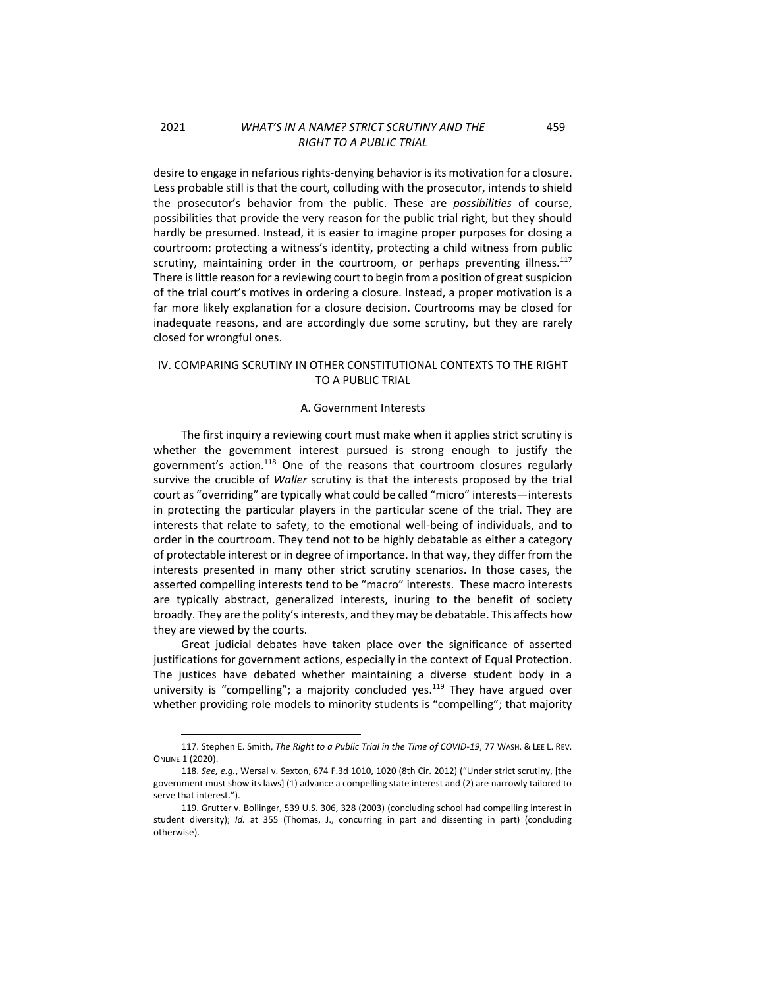desire to engage in nefarious rights-denying behavior is its motivation for a closure. Less probable still is that the court, colluding with the prosecutor, intends to shield the prosecutor's behavior from the public. These are *possibilities* of course, possibilities that provide the very reason for the public trial right, but they should hardly be presumed. Instead, it is easier to imagine proper purposes for closing a courtroom: protecting a witness's identity, protecting a child witness from public scrutiny, maintaining order in the courtroom, or perhaps preventing illness.<sup>117</sup> There is little reason for a reviewing court to begin from a position of great suspicion of the trial court's motives in ordering a closure. Instead, a proper motivation is a far more likely explanation for a closure decision. Courtrooms may be closed for inadequate reasons, and are accordingly due some scrutiny, but they are rarely closed for wrongful ones.

### <span id="page-12-0"></span>IV. COMPARING SCRUTINY IN OTHER CONSTITUTIONAL CONTEXTS TO THE RIGHT TO A PUBLIC TRIAL

#### A. Government Interests

<span id="page-12-1"></span>The first inquiry a reviewing court must make when it applies strict scrutiny is whether the government interest pursued is strong enough to justify the government's action.<sup>118</sup> One of the reasons that courtroom closures regularly survive the crucible of *Waller* scrutiny is that the interests proposed by the trial court as "overriding" are typically what could be called "micro" interests—interests in protecting the particular players in the particular scene of the trial. They are interests that relate to safety, to the emotional well-being of individuals, and to order in the courtroom. They tend not to be highly debatable as either a category of protectable interest or in degree of importance. In that way, they differ from the interests presented in many other strict scrutiny scenarios. In those cases, the asserted compelling interests tend to be "macro" interests. These macro interests are typically abstract, generalized interests, inuring to the benefit of society broadly. They are the polity's interests, and they may be debatable. This affects how they are viewed by the courts.

Great judicial debates have taken place over the significance of asserted justifications for government actions, especially in the context of Equal Protection. The justices have debated whether maintaining a diverse student body in a university is "compelling"; a majority concluded yes.<sup>119</sup> They have argued over whether providing role models to minority students is "compelling"; that majority

459

<sup>117.</sup> Stephen E. Smith, *The Right to a Public Trial in the Time of COVID-19*, 77 WASH. & LEE L. REV. ONLINE 1 (2020).

<sup>118.</sup> *See, e.g.*, Wersal v. Sexton, 674 F.3d 1010, 1020 (8th Cir. 2012) ("Under strict scrutiny, [the government must show its laws] (1) advance a compelling state interest and (2) are narrowly tailored to serve that interest.").

<sup>119.</sup> Grutter v. Bollinger, 539 U.S. 306, 328 (2003) (concluding school had compelling interest in student diversity); *Id.* at 355 (Thomas, J., concurring in part and dissenting in part) (concluding otherwise).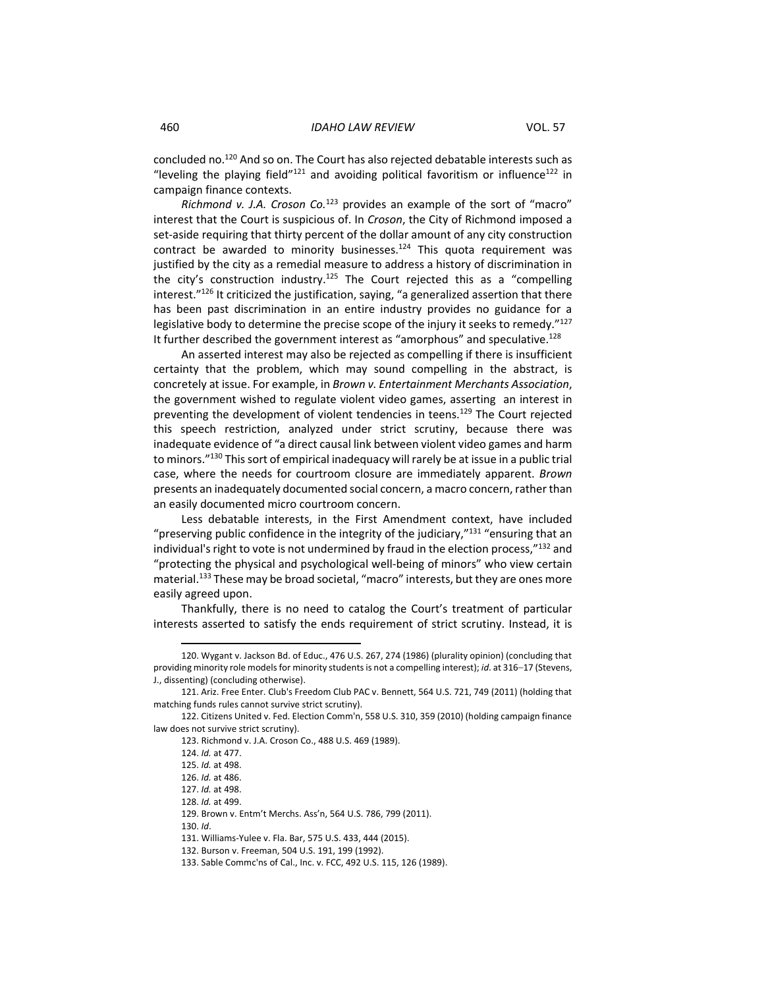concluded no.<sup>120</sup> And so on. The Court has also rejected debatable interests such as "leveling the playing field" $121$  and avoiding political favoritism or influence $122$  in campaign finance contexts.

*Richmond v. J.A. Croson Co.*<sup>123</sup> provides an example of the sort of "macro" interest that the Court is suspicious of. In *Croson*, the City of Richmond imposed a set-aside requiring that thirty percent of the dollar amount of any city construction contract be awarded to minority businesses.<sup>124</sup> This quota requirement was justified by the city as a remedial measure to address a history of discrimination in the city's construction industry.<sup>125</sup> The Court rejected this as a "compelling interest."<sup>126</sup> It criticized the justification, saying, "a generalized assertion that there has been past discrimination in an entire industry provides no guidance for a legislative body to determine the precise scope of the injury it seeks to remedy."<sup>127</sup> It further described the government interest as "amorphous" and speculative.<sup>128</sup>

An asserted interest may also be rejected as compelling if there is insufficient certainty that the problem, which may sound compelling in the abstract, is concretely at issue. For example, in *Brown v. Entertainment Merchants Association*, the government wished to regulate violent video games, asserting an interest in preventing the development of violent tendencies in teens.<sup>129</sup> The Court rejected this speech restriction, analyzed under strict scrutiny, because there was inadequate evidence of "a direct causal link between violent video games and harm to minors."<sup>130</sup> This sort of empirical inadequacy will rarely be at issue in a public trial case, where the needs for courtroom closure are immediately apparent. *Brown* presents an inadequately documented social concern, a macro concern, rather than an easily documented micro courtroom concern.

Less debatable interests, in the First Amendment context, have included "preserving public confidence in the integrity of the judiciary," $131$  "ensuring that an individual's right to vote is not undermined by fraud in the election process,"132 and "protecting the physical and psychological well-being of minors" who view certain material.<sup>133</sup> These may be broad societal, "macro" interests, but they are ones more easily agreed upon.

Thankfully, there is no need to catalog the Court's treatment of particular interests asserted to satisfy the ends requirement of strict scrutiny. Instead, it is

<sup>120.</sup> Wygant v. Jackson Bd. of Educ., 476 U.S. 267, 274 (1986) (plurality opinion) (concluding that providing minority role models for minority students is not a compelling interest); *id*. at 316–17 (Stevens, J., dissenting) (concluding otherwise).

<sup>121.</sup> Ariz. Free Enter. Club's Freedom Club PAC v. Bennett, 564 U.S. 721, 749 (2011) (holding that matching funds rules cannot survive strict scrutiny).

<sup>122.</sup> Citizens United v. Fed. Election Comm'n, 558 U.S. 310, 359 (2010) (holding campaign finance law does not survive strict scrutiny).

<sup>123.</sup> Richmond v. J.A. Croson Co., 488 U.S. 469 (1989).

<sup>124.</sup> *Id.* at 477.

<sup>125.</sup> *Id.* at 498.

<sup>126.</sup> *Id.* at 486.

<sup>127.</sup> *Id.* at 498. 128. *Id.* at 499.

<sup>129.</sup> Brown v. Entm't Merchs. Ass'n, 564 U.S. 786, 799 (2011).

<sup>130.</sup> *Id*.

<sup>131.</sup> Williams-Yulee v. Fla. Bar, 575 U.S. 433, 444 (2015).

<sup>132.</sup> Burson v. Freeman, 504 U.S. 191, 199 (1992).

<sup>133.</sup> Sable Commc'ns of Cal., Inc. v. FCC, 492 U.S. 115, 126 (1989).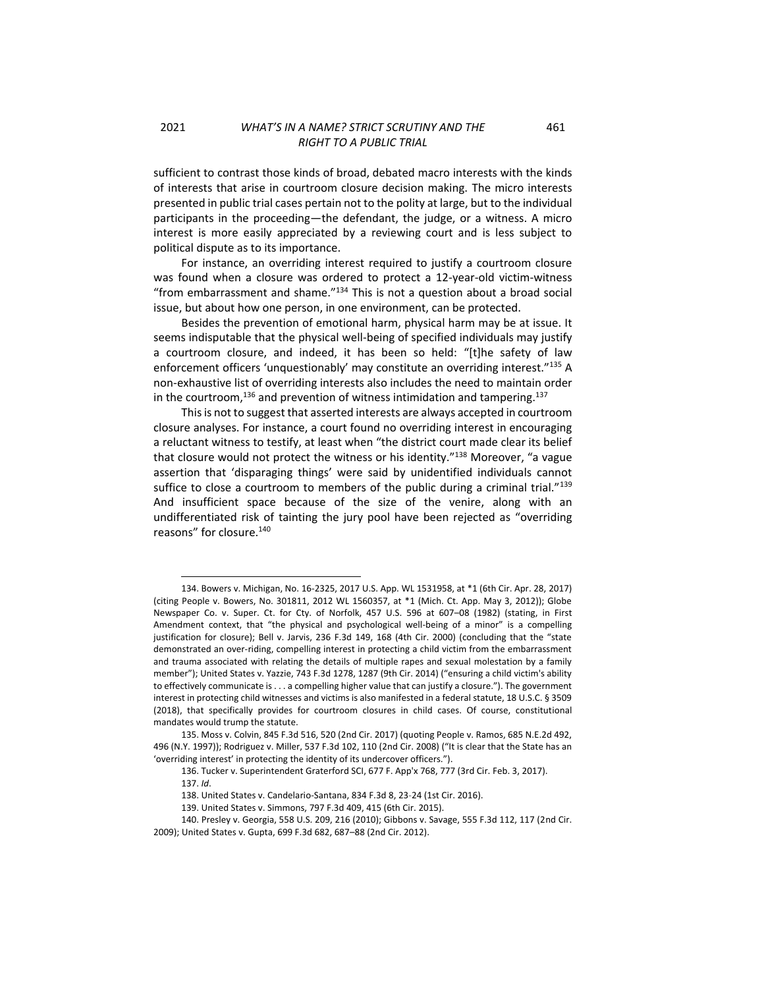sufficient to contrast those kinds of broad, debated macro interests with the kinds of interests that arise in courtroom closure decision making. The micro interests presented in public trial cases pertain not to the polity at large, but to the individual participants in the proceeding—the defendant, the judge, or a witness. A micro interest is more easily appreciated by a reviewing court and is less subject to political dispute as to its importance.

For instance, an overriding interest required to justify a courtroom closure was found when a closure was ordered to protect a 12-year-old victim-witness "from embarrassment and shame. $134$  This is not a question about a broad social issue, but about how one person, in one environment, can be protected.

Besides the prevention of emotional harm, physical harm may be at issue. It seems indisputable that the physical well-being of specified individuals may justify a courtroom closure, and indeed, it has been so held: "[t]he safety of law enforcement officers 'unquestionably' may constitute an overriding interest."135 A non-exhaustive list of overriding interests also includes the need to maintain order in the courtroom,<sup>136</sup> and prevention of witness intimidation and tampering.<sup>137</sup>

This is not to suggest that asserted interests are always accepted in courtroom closure analyses. For instance, a court found no overriding interest in encouraging a reluctant witness to testify, at least when "the district court made clear its belief that closure would not protect the witness or his identity."<sup>138</sup> Moreover, "a vague assertion that 'disparaging things' were said by unidentified individuals cannot suffice to close a courtroom to members of the public during a criminal trial." $139$ And insufficient space because of the size of the venire, along with an undifferentiated risk of tainting the jury pool have been rejected as "overriding reasons" for closure.<sup>140</sup>

<sup>134.</sup> Bowers v. Michigan, No. 16-2325, 2017 U.S. App. WL 1531958, at \*1 (6th Cir. Apr. 28, 2017) (citing People v. Bowers, No. 301811, 2012 WL 1560357, at \*1 (Mich. Ct. App. May 3, 2012)); Globe Newspaper Co. v. Super. Ct. for Cty. of Norfolk, 457 U.S. 596 at 607–08 (1982) (stating, in First Amendment context, that "the physical and psychological well-being of a minor" is a compelling justification for closure); Bell v. Jarvis, 236 F.3d 149, 168 (4th Cir. 2000) (concluding that the "state demonstrated an over-riding, compelling interest in protecting a child victim from the embarrassment and trauma associated with relating the details of multiple rapes and sexual molestation by a family member"); United States v. Yazzie, 743 F.3d 1278, 1287 (9th Cir. 2014) ("ensuring a child victim's ability to effectively communicate is . . . a compelling higher value that can justify a closure."). The government interest in protecting child witnesses and victims is also manifested in a federal statute, 18 U.S.C. § 3509 (2018), that specifically provides for courtroom closures in child cases. Of course, constitutional mandates would trump the statute.

<sup>135.</sup> Moss v. Colvin, 845 F.3d 516, 520 (2nd Cir. 2017) (quoting People v. Ramos, 685 N.E.2d 492, 496 (N.Y. 1997)); Rodriguez v. Miller, 537 F.3d 102, 110 (2nd Cir. 2008) ("It is clear that the State has an 'overriding interest' in protecting the identity of its undercover officers.").

<sup>136.</sup> Tucker v. Superintendent Graterford SCI, 677 F. App'x 768, 777 (3rd Cir. Feb. 3, 2017).

<sup>137.</sup> *Id*.

<sup>138.</sup> United States v. Candelario-Santana, 834 F.3d 8, 23-24 (1st Cir. 2016).

<sup>139.</sup> United States v. Simmons, 797 F.3d 409, 415 (6th Cir. 2015).

<sup>140.</sup> Presley v. Georgia, 558 U.S. 209, 216 (2010); Gibbons v. Savage, 555 F.3d 112, 117 (2nd Cir. 2009); United States v. Gupta, 699 F.3d 682, 687–88 (2nd Cir. 2012).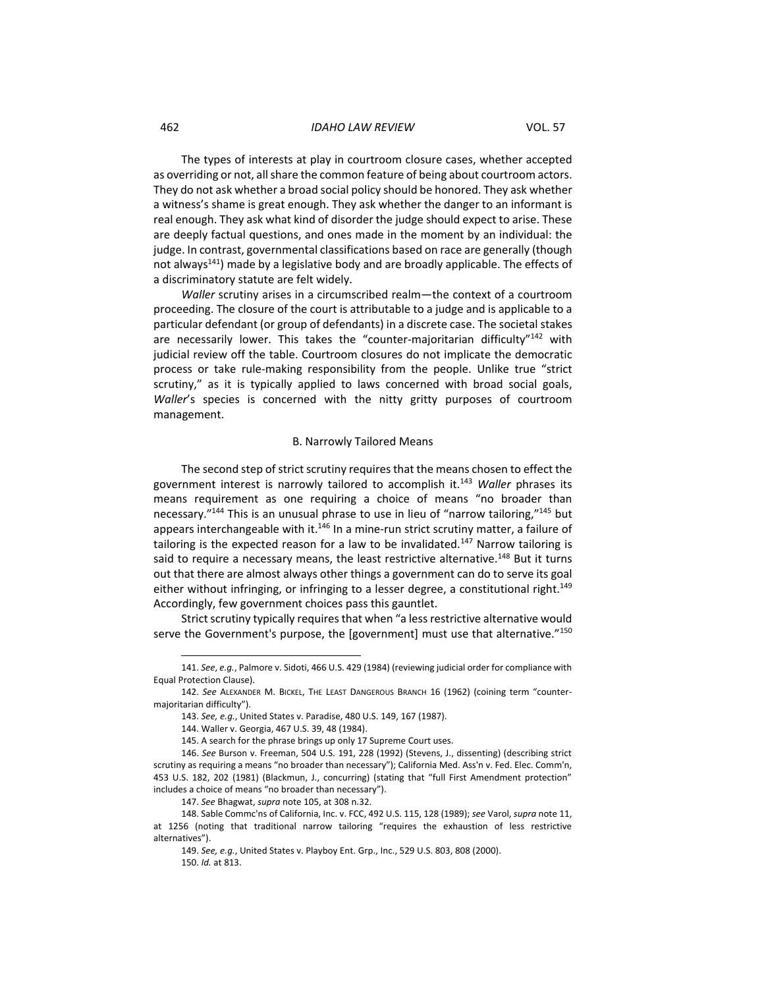#### 462 *IDAHO LAW REVIEW* VOL. 57

The types of interests at play in courtroom closure cases, whether accepted as overriding or not, all share the common feature of being about courtroom actors. They do not ask whether a broad social policy should be honored. They ask whether a witness's shame is great enough. They ask whether the danger to an informant is real enough. They ask what kind of disorder the judge should expect to arise. These are deeply factual questions, and ones made in the moment by an individual: the judge. In contrast, governmental classifications based on race are generally (though not always<sup>141</sup>) made by a legislative body and are broadly applicable. The effects of a discriminatory statute are felt widely.

*Waller* scrutiny arises in a circumscribed realm—the context of a courtroom proceeding. The closure of the court is attributable to a judge and is applicable to a particular defendant (or group of defendants) in a discrete case. The societal stakes are necessarily lower. This takes the "counter-majoritarian difficulty" $142$  with judicial review off the table. Courtroom closures do not implicate the democratic process or take rule-making responsibility from the people. Unlike true "strict scrutiny," as it is typically applied to laws concerned with broad social goals, *Waller*'s species is concerned with the nitty gritty purposes of courtroom management.

### B. Narrowly Tailored Means

<span id="page-15-0"></span>The second step of strict scrutiny requires that the means chosen to effect the government interest is narrowly tailored to accomplish it.<sup>143</sup> *Waller* phrases its means requirement as one requiring a choice of means "no broader than necessary."<sup>144</sup> This is an unusual phrase to use in lieu of "narrow tailoring,"<sup>145</sup> but appears interchangeable with it.<sup>146</sup> In a mine-run strict scrutiny matter, a failure of tailoring is the expected reason for a law to be invalidated.<sup>147</sup> Narrow tailoring is said to require a necessary means, the least restrictive alternative.<sup>148</sup> But it turns out that there are almost always other things a government can do to serve its goal either without infringing, or infringing to a lesser degree, a constitutional right.<sup>149</sup> Accordingly, few government choices pass this gauntlet.

Strict scrutiny typically requires that when "a less restrictive alternative would serve the Government's purpose, the [government] must use that alternative."<sup>150</sup>

<sup>141.</sup> *See*, *e.g.*, Palmore v. Sidoti, 466 U.S. 429 (1984) (reviewing judicial order for compliance with Equal Protection Clause).

<sup>142.</sup> *See* ALEXANDER M. BICKEL, THE LEAST DANGEROUS BRANCH 16 (1962) (coining term "countermajoritarian difficulty").

<sup>143.</sup> *See, e.g.*, United States v. Paradise, 480 U.S. 149, 167 (1987).

<sup>144.</sup> Waller v. Georgia, 467 U.S. 39, 48 (1984).

<sup>145.</sup> A search for the phrase brings up only 17 Supreme Court uses.

<sup>146.</sup> *See* Burson v. Freeman, 504 U.S. 191, 228 (1992) (Stevens, J., dissenting) (describing strict scrutiny as requiring a means "no broader than necessary"); California Med. Ass'n v. Fed. Elec. Comm'n, 453 U.S. 182, 202 (1981) (Blackmun, J., concurring) (stating that "full First Amendment protection" includes a choice of means "no broader than necessary").

<sup>147.</sup> *See* Bhagwat, *supra* note 105, at 308 n.32.

<sup>148.</sup> Sable Commc'ns of California, Inc. v. FCC, 492 U.S. 115, 128 (1989); *see* Varol, *supra* note 11, at 1256 (noting that traditional narrow tailoring "requires the exhaustion of less restrictive alternatives").

<sup>149.</sup> *See, e.g.*, United States v. Playboy Ent. Grp., Inc., 529 U.S. 803, 808 (2000). 150. *Id.* at 813.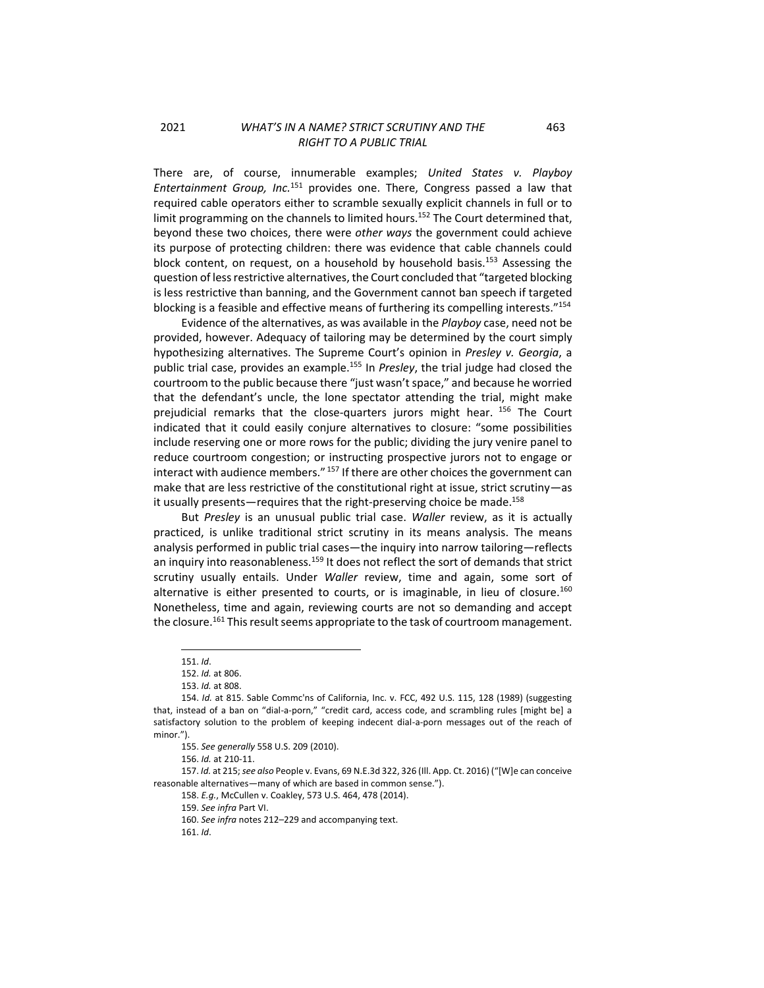There are, of course, innumerable examples; *United States v. Playboy Entertainment Group, Inc.*<sup>151</sup> provides one. There, Congress passed a law that required cable operators either to scramble sexually explicit channels in full or to limit programming on the channels to limited hours.<sup>152</sup> The Court determined that, beyond these two choices, there were *other ways* the government could achieve its purpose of protecting children: there was evidence that cable channels could block content, on request, on a household by household basis.<sup>153</sup> Assessing the question of less restrictive alternatives, the Court concluded that "targeted blocking is less restrictive than banning, and the Government cannot ban speech if targeted blocking is a feasible and effective means of furthering its compelling interests."<sup>154</sup>

Evidence of the alternatives, as was available in the *Playboy* case, need not be provided, however. Adequacy of tailoring may be determined by the court simply hypothesizing alternatives. The Supreme Court's opinion in *Presley v. Georgia*, a public trial case, provides an example.<sup>155</sup> In *Presley*, the trial judge had closed the courtroom to the public because there "just wasn't space," and because he worried that the defendant's uncle, the lone spectator attending the trial, might make prejudicial remarks that the close-quarters jurors might hear. <sup>156</sup> The Court indicated that it could easily conjure alternatives to closure: "some possibilities include reserving one or more rows for the public; dividing the jury venire panel to reduce courtroom congestion; or instructing prospective jurors not to engage or interact with audience members." 157 If there are other choices the government can make that are less restrictive of the constitutional right at issue, strict scrutiny—as it usually presents—requires that the right-preserving choice be made.<sup>158</sup>

But *Presley* is an unusual public trial case. *Waller* review, as it is actually practiced, is unlike traditional strict scrutiny in its means analysis. The means analysis performed in public trial cases—the inquiry into narrow tailoring—reflects an inquiry into reasonableness.<sup>159</sup> It does not reflect the sort of demands that strict scrutiny usually entails. Under *Waller* review, time and again, some sort of alternative is either presented to courts, or is imaginable, in lieu of closure.<sup>160</sup> Nonetheless, time and again, reviewing courts are not so demanding and accept the closure.<sup>161</sup> This result seems appropriate to the task of courtroom management.

157. *Id.* at 215; *see also* People v. Evans, 69 N.E.3d 322, 326 (Ill. App. Ct. 2016) ("[W]e can conceive reasonable alternatives—many of which are based in common sense.").

<sup>151.</sup> *Id*.

<sup>152.</sup> *Id.* at 806.

<sup>153.</sup> *Id.* at 808.

<sup>154.</sup> *Id.* at 815. Sable Commc'ns of California, Inc. v. FCC, 492 U.S. 115, 128 (1989) (suggesting that, instead of a ban on "dial-a-porn," "credit card, access code, and scrambling rules [might be] a satisfactory solution to the problem of keeping indecent dial-a-porn messages out of the reach of minor.").

<sup>155.</sup> *See generally* 558 U.S. 209 (2010).

<sup>156.</sup> *Id.* at 210-11.

<sup>158.</sup> *E.g.*, McCullen v. Coakley, 573 U.S. 464, 478 (2014).

<sup>159.</sup> *See infra* Part VI.

<sup>160.</sup> *See infra* note[s 212](#page-22-0)–[229](#page-23-1) and accompanying text.

<sup>161.</sup> *Id*.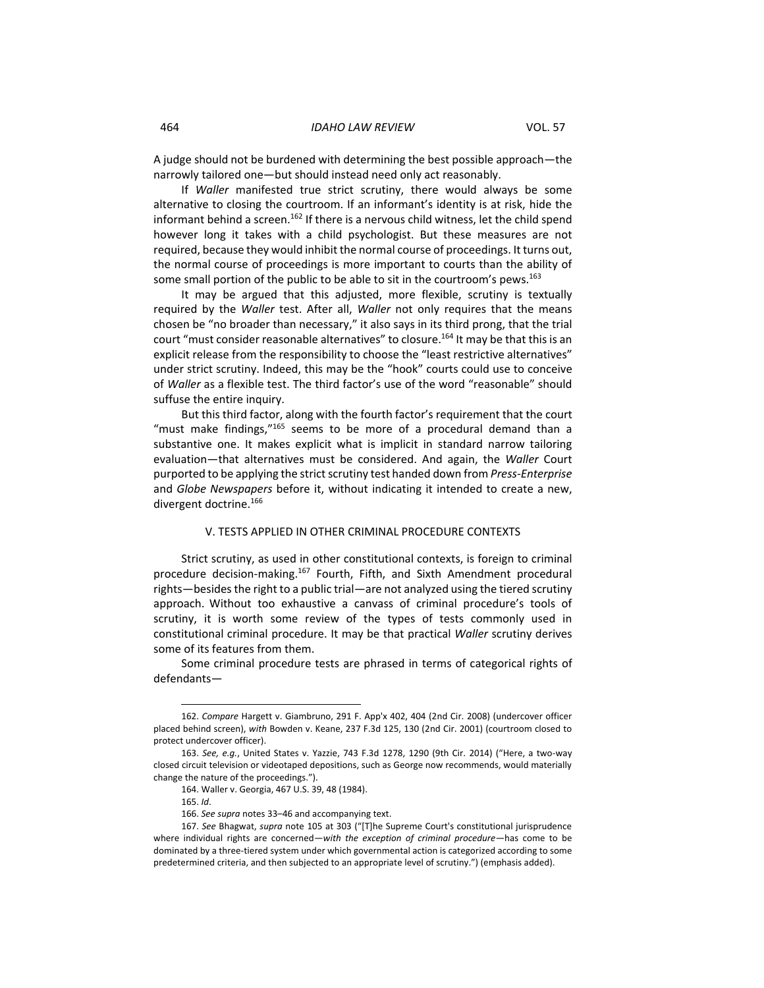A judge should not be burdened with determining the best possible approach—the narrowly tailored one—but should instead need only act reasonably.

If *Waller* manifested true strict scrutiny, there would always be some alternative to closing the courtroom. If an informant's identity is at risk, hide the informant behind a screen.<sup>162</sup> If there is a nervous child witness, let the child spend however long it takes with a child psychologist. But these measures are not required, because they would inhibit the normal course of proceedings. It turns out, the normal course of proceedings is more important to courts than the ability of some small portion of the public to be able to sit in the courtroom's pews.<sup>163</sup>

It may be argued that this adjusted, more flexible, scrutiny is textually required by the *Waller* test. After all, *Waller* not only requires that the means chosen be "no broader than necessary," it also says in its third prong, that the trial court "must consider reasonable alternatives" to closure.<sup>164</sup> It may be that this is an explicit release from the responsibility to choose the "least restrictive alternatives" under strict scrutiny. Indeed, this may be the "hook" courts could use to conceive of *Waller* as a flexible test. The third factor's use of the word "reasonable" should suffuse the entire inquiry.

But this third factor, along with the fourth factor's requirement that the court "must make findings,"<sup>165</sup> seems to be more of a procedural demand than a substantive one. It makes explicit what is implicit in standard narrow tailoring evaluation—that alternatives must be considered. And again, the *Waller* Court purported to be applying the strict scrutiny test handed down from *Press-Enterprise* and *Globe Newspapers* before it, without indicating it intended to create a new, divergent doctrine.<sup>166</sup>

### V. TESTS APPLIED IN OTHER CRIMINAL PROCEDURE CONTEXTS

<span id="page-17-0"></span>Strict scrutiny, as used in other constitutional contexts, is foreign to criminal procedure decision-making.<sup>167</sup> Fourth, Fifth, and Sixth Amendment procedural rights—besides the right to a public trial—are not analyzed using the tiered scrutiny approach. Without too exhaustive a canvass of criminal procedure's tools of scrutiny, it is worth some review of the types of tests commonly used in constitutional criminal procedure. It may be that practical *Waller* scrutiny derives some of its features from them.

Some criminal procedure tests are phrased in terms of categorical rights of defendants—

<sup>162.</sup> *Compare* Hargett v. Giambruno, 291 F. App'x 402, 404 (2nd Cir. 2008) (undercover officer placed behind screen), *with* Bowden v. Keane, 237 F.3d 125, 130 (2nd Cir. 2001) (courtroom closed to protect undercover officer).

<sup>163.</sup> *See, e.g.*, United States v. Yazzie, 743 F.3d 1278, 1290 (9th Cir. 2014) ("Here, a two-way closed circuit television or videotaped depositions, such as George now recommends, would materially change the nature of the proceedings.").

<sup>164.</sup> Waller v. Georgia, 467 U.S. 39, 48 (1984).

<sup>165.</sup> *Id*.

<sup>166.</sup> *See supra* note[s 33](#page-3-2)–[46](#page-4-1) and accompanying text.

<sup>167.</sup> *See* Bhagwat, *supra* note 105 at 303 ("[T]he Supreme Court's constitutional jurisprudence where individual rights are concerned—*with the exception of criminal procedure*—has come to be dominated by a three-tiered system under which governmental action is categorized according to some predetermined criteria, and then subjected to an appropriate level of scrutiny.") (emphasis added).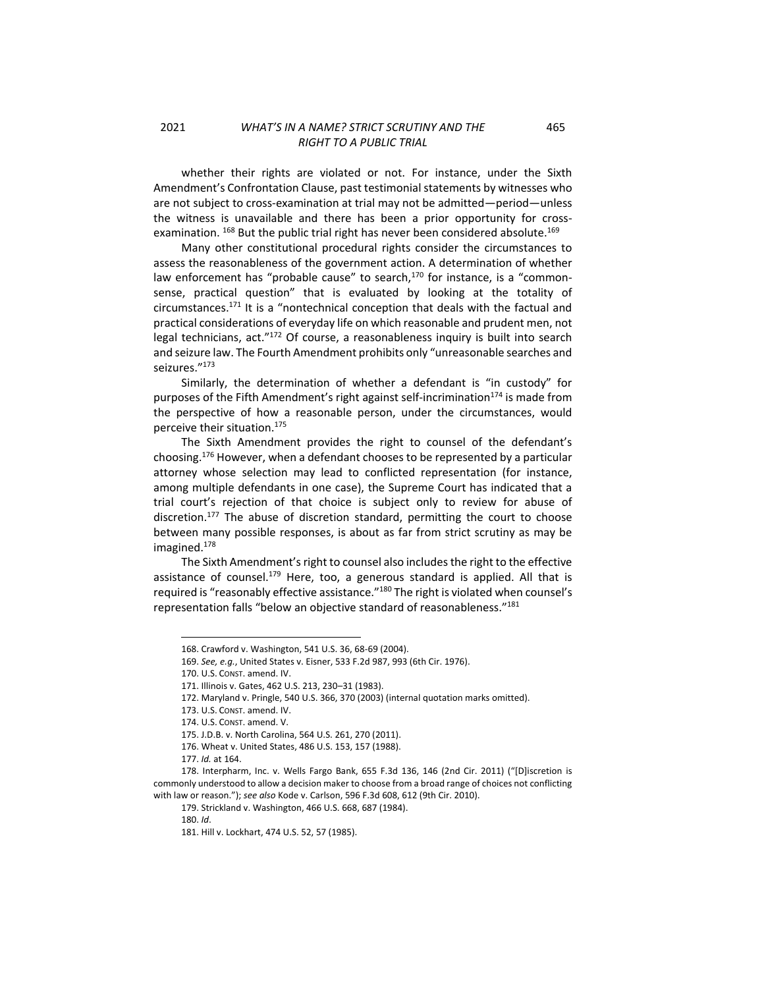whether their rights are violated or not. For instance, under the Sixth Amendment's Confrontation Clause, past testimonial statements by witnesses who are not subject to cross-examination at trial may not be admitted—period—unless the witness is unavailable and there has been a prior opportunity for crossexamination. <sup>168</sup> But the public trial right has never been considered absolute.<sup>169</sup>

Many other constitutional procedural rights consider the circumstances to assess the reasonableness of the government action. A determination of whether law enforcement has "probable cause" to search, $170$  for instance, is a "commonsense, practical question" that is evaluated by looking at the totality of circumstances. $171$  It is a "nontechnical conception that deals with the factual and practical considerations of everyday life on which reasonable and prudent men, not legal technicians, act."<sup>172</sup> Of course, a reasonableness inquiry is built into search and seizure law. The Fourth Amendment prohibits only "unreasonable searches and seizures."<sup>173</sup>

Similarly, the determination of whether a defendant is "in custody" for purposes of the Fifth Amendment's right against self-incrimination<sup>174</sup> is made from the perspective of how a reasonable person, under the circumstances, would perceive their situation.<sup>175</sup>

The Sixth Amendment provides the right to counsel of the defendant's choosing.<sup>176</sup> However, when a defendant chooses to be represented by a particular attorney whose selection may lead to conflicted representation (for instance, among multiple defendants in one case), the Supreme Court has indicated that a trial court's rejection of that choice is subject only to review for abuse of discretion.<sup>177</sup> The abuse of discretion standard, permitting the court to choose between many possible responses, is about as far from strict scrutiny as may be imagined.<sup>178</sup>

The Sixth Amendment's right to counsel also includes the right to the effective assistance of counsel. $179$  Here, too, a generous standard is applied. All that is required is "reasonably effective assistance."<sup>180</sup> The right is violated when counsel's representation falls "below an objective standard of reasonableness."<sup>181</sup>

170. U.S. CONST. amend. IV.

180. *Id*.

<sup>168.</sup> Crawford v. Washington, 541 U.S. 36, 68-69 (2004).

<sup>169.</sup> *See, e.g.*, United States v. Eisner, 533 F.2d 987, 993 (6th Cir. 1976).

<sup>171.</sup> Illinois v. Gates, 462 U.S. 213, 230–31 (1983).

<sup>172.</sup> Maryland v. Pringle, 540 U.S. 366, 370 (2003) (internal quotation marks omitted).

<sup>173.</sup> U.S. CONST. amend. IV.

<sup>174.</sup> U.S. CONST. amend. V.

<sup>175.</sup> J.D.B. v. North Carolina, 564 U.S. 261, 270 (2011).

<sup>176.</sup> Wheat v. United States, 486 U.S. 153, 157 (1988).

<sup>177.</sup> *Id.* at 164.

<sup>178.</sup> Interpharm, Inc. v. Wells Fargo Bank, 655 F.3d 136, 146 (2nd Cir. 2011) ("[D]iscretion is commonly understood to allow a decision maker to choose from a broad range of choices not conflicting with law or reason."); *see also* Kode v. Carlson, 596 F.3d 608, 612 (9th Cir. 2010).

<sup>179.</sup> Strickland v. Washington, 466 U.S. 668, 687 (1984).

<sup>181.</sup> Hill v. Lockhart, 474 U.S. 52, 57 (1985).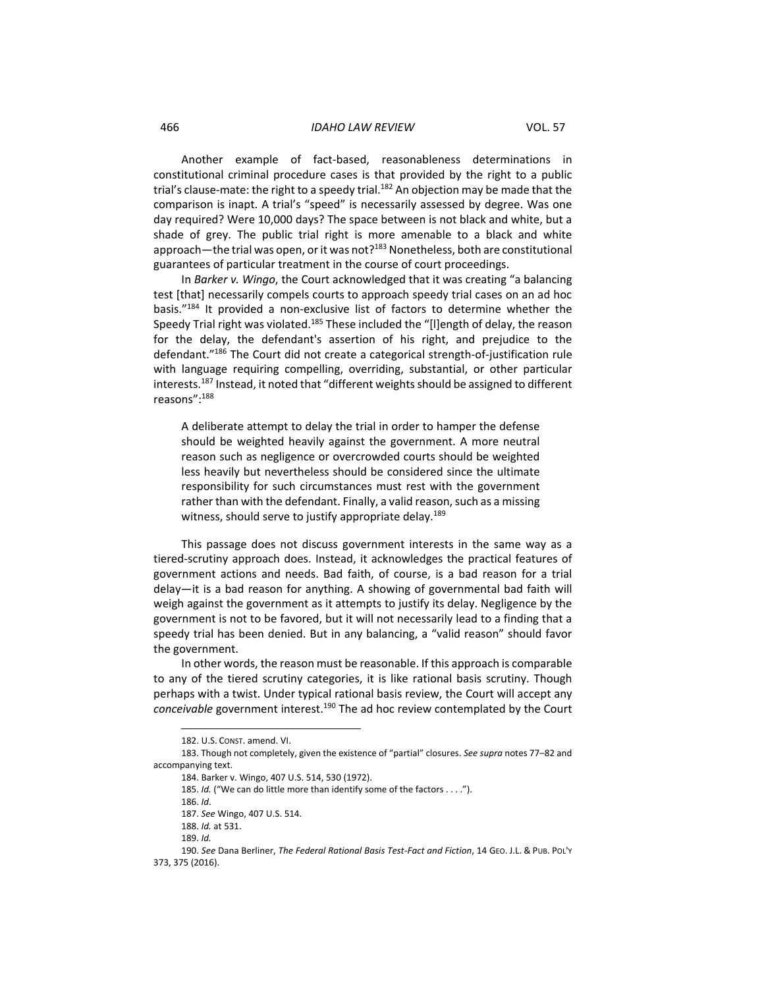#### 466 *IDAHO LAW REVIEW* VOL. 57

Another example of fact-based, reasonableness determinations in constitutional criminal procedure cases is that provided by the right to a public trial's clause-mate: the right to a speedy trial.<sup>182</sup> An objection may be made that the comparison is inapt. A trial's "speed" is necessarily assessed by degree. Was one day required? Were 10,000 days? The space between is not black and white, but a shade of grey. The public trial right is more amenable to a black and white approach—the trial was open, or it was not?<sup>183</sup> Nonetheless, both are constitutional guarantees of particular treatment in the course of court proceedings.

In *Barker v. Wingo*, the Court acknowledged that it was creating "a balancing test [that] necessarily compels courts to approach speedy trial cases on an ad hoc basis."<sup>184</sup> It provided a non-exclusive list of factors to determine whether the Speedy Trial right was violated.<sup>185</sup> These included the "[I]ength of delay, the reason for the delay, the defendant's assertion of his right, and prejudice to the defendant."<sup>186</sup> The Court did not create a categorical strength-of-justification rule with language requiring compelling, overriding, substantial, or other particular interests.<sup>187</sup> Instead, it noted that "different weights should be assigned to different reasons": 188

A deliberate attempt to delay the trial in order to hamper the defense should be weighted heavily against the government. A more neutral reason such as negligence or overcrowded courts should be weighted less heavily but nevertheless should be considered since the ultimate responsibility for such circumstances must rest with the government rather than with the defendant. Finally, a valid reason, such as a missing witness, should serve to justify appropriate delay.<sup>189</sup>

This passage does not discuss government interests in the same way as a tiered-scrutiny approach does. Instead, it acknowledges the practical features of government actions and needs. Bad faith, of course, is a bad reason for a trial delay—it is a bad reason for anything. A showing of governmental bad faith will weigh against the government as it attempts to justify its delay. Negligence by the government is not to be favored, but it will not necessarily lead to a finding that a speedy trial has been denied. But in any balancing, a "valid reason" should favor the government.

In other words, the reason must be reasonable. If this approach is comparable to any of the tiered scrutiny categories, it is like rational basis scrutiny. Though perhaps with a twist. Under typical rational basis review, the Court will accept any *conceivable* government interest.<sup>190</sup> The ad hoc review contemplated by the Court

<sup>182.</sup> U.S. CONST. amend. VI.

<sup>183.</sup> Though not completely, given the existence of "partial" closures. *See supra* note[s 77](#page-8-2)–[82](#page-8-3) and accompanying text.

<sup>184.</sup> Barker v. Wingo, 407 U.S. 514, 530 (1972).

<sup>185.</sup> *Id.* ("We can do little more than identify some of the factors . . . .").

<sup>186.</sup> *Id*.

<sup>187.</sup> *See* Wingo, 407 U.S. 514.

<sup>188.</sup> *Id.* at 531.

<sup>189.</sup> *Id.*

<sup>190.</sup> *See* Dana Berliner, *The Federal Rational Basis Test-Fact and Fiction*, 14 GEO. J.L. & PUB. POL'Y 373, 375 (2016).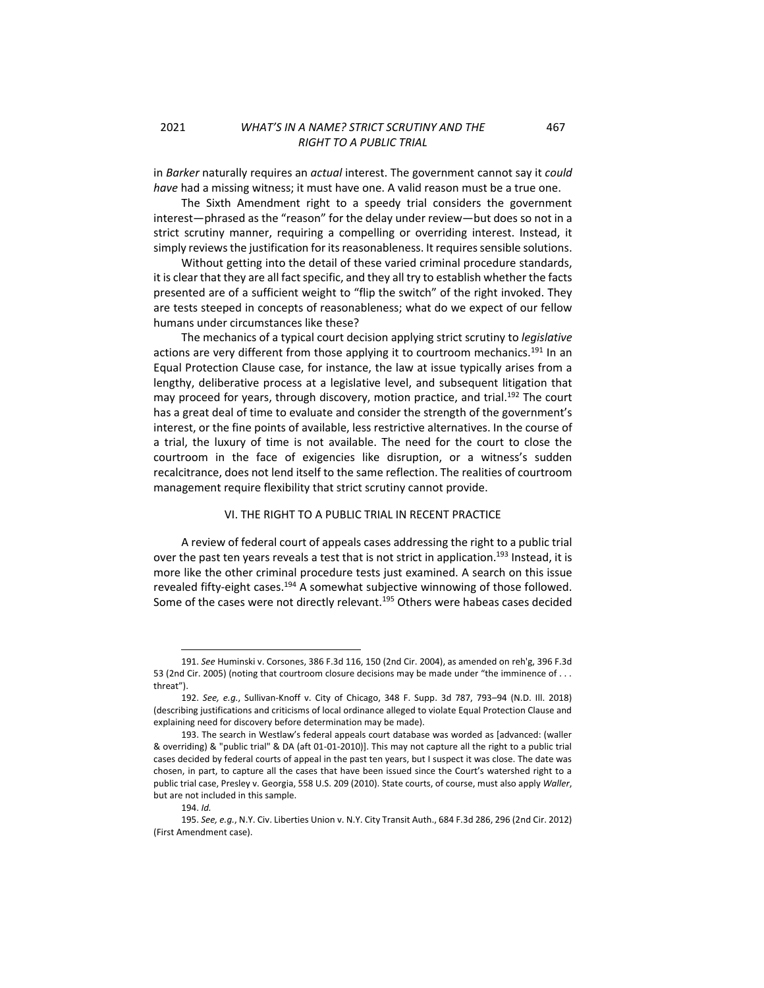in *Barker* naturally requires an *actual* interest. The government cannot say it *could have* had a missing witness; it must have one. A valid reason must be a true one.

The Sixth Amendment right to a speedy trial considers the government interest—phrased as the "reason" for the delay under review—but does so not in a strict scrutiny manner, requiring a compelling or overriding interest. Instead, it simply reviews the justification for its reasonableness. It requires sensible solutions.

Without getting into the detail of these varied criminal procedure standards, it is clear that they are all fact specific, and they all try to establish whether the facts presented are of a sufficient weight to "flip the switch" of the right invoked. They are tests steeped in concepts of reasonableness; what do we expect of our fellow humans under circumstances like these?

The mechanics of a typical court decision applying strict scrutiny to *legislative* actions are very different from those applying it to courtroom mechanics.<sup>191</sup> In an Equal Protection Clause case, for instance, the law at issue typically arises from a lengthy, deliberative process at a legislative level, and subsequent litigation that may proceed for years, through discovery, motion practice, and trial.<sup>192</sup> The court has a great deal of time to evaluate and consider the strength of the government's interest, or the fine points of available, less restrictive alternatives. In the course of a trial, the luxury of time is not available. The need for the court to close the courtroom in the face of exigencies like disruption, or a witness's sudden recalcitrance, does not lend itself to the same reflection. The realities of courtroom management require flexibility that strict scrutiny cannot provide.

### VI. THE RIGHT TO A PUBLIC TRIAL IN RECENT PRACTICE

<span id="page-20-0"></span>A review of federal court of appeals cases addressing the right to a public trial over the past ten years reveals a test that is not strict in application.<sup>193</sup> Instead, it is more like the other criminal procedure tests just examined. A search on this issue revealed fifty-eight cases.<sup>194</sup> A somewhat subjective winnowing of those followed. Some of the cases were not directly relevant.<sup>195</sup> Others were habeas cases decided

<sup>191.</sup> *See* Huminski v. Corsones, 386 F.3d 116, 150 (2nd Cir. 2004), as amended on reh'g, 396 F.3d 53 (2nd Cir. 2005) (noting that courtroom closure decisions may be made under "the imminence of . . . threat").

<sup>192.</sup> *See, e.g.*, Sullivan-Knoff v. City of Chicago, 348 F. Supp. 3d 787, 793–94 (N.D. Ill. 2018) (describing justifications and criticisms of local ordinance alleged to violate Equal Protection Clause and explaining need for discovery before determination may be made).

<sup>193.</sup> The search in Westlaw's federal appeals court database was worded as [advanced: (waller & overriding) & "public trial" & DA (aft 01-01-2010)]. This may not capture all the right to a public trial cases decided by federal courts of appeal in the past ten years, but I suspect it was close. The date was chosen, in part, to capture all the cases that have been issued since the Court's watershed right to a public trial case, Presley v. Georgia, 558 U.S. 209 (2010). State courts, of course, must also apply *Waller*, but are not included in this sample.

<sup>194.</sup> *Id.*

<sup>195.</sup> *See, e.g.*, N.Y. Civ. Liberties Union v. N.Y. City Transit Auth., 684 F.3d 286, 296 (2nd Cir. 2012) (First Amendment case).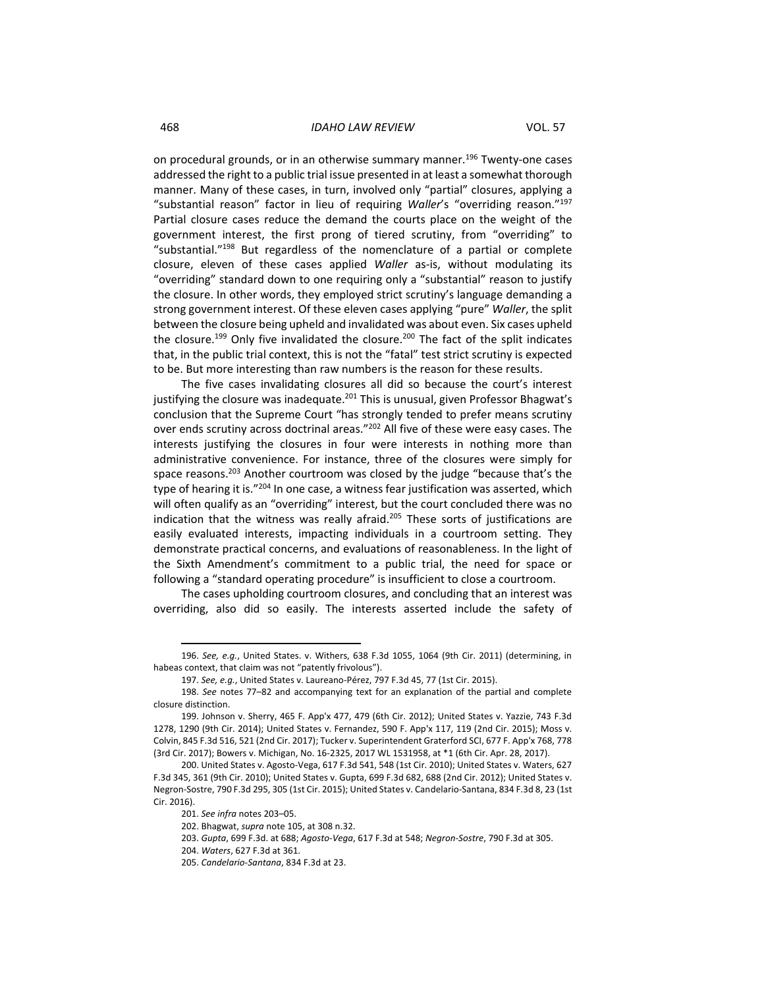468 *IDAHO LAW REVIEW* VOL. 57

on procedural grounds, or in an otherwise summary manner.<sup>196</sup> Twenty-one cases addressed the right to a public trial issue presented in at least a somewhat thorough manner. Many of these cases, in turn, involved only "partial" closures, applying a "substantial reason" factor in lieu of requiring *Waller*'s "overriding reason." 197 Partial closure cases reduce the demand the courts place on the weight of the government interest, the first prong of tiered scrutiny, from "overriding" to "substantial."<sup>198</sup> But regardless of the nomenclature of a partial or complete closure, eleven of these cases applied *Waller* as-is, without modulating its "overriding" standard down to one requiring only a "substantial" reason to justify the closure. In other words, they employed strict scrutiny's language demanding a strong government interest. Of these eleven cases applying "pure" *Waller*, the split between the closure being upheld and invalidated was about even. Six cases upheld the closure.<sup>199</sup> Only five invalidated the closure.<sup>200</sup> The fact of the split indicates that, in the public trial context, this is not the "fatal" test strict scrutiny is expected to be. But more interesting than raw numbers is the reason for these results.

The five cases invalidating closures all did so because the court's interest justifying the closure was inadequate.<sup>201</sup> This is unusual, given Professor Bhagwat's conclusion that the Supreme Court "has strongly tended to prefer means scrutiny over ends scrutiny across doctrinal areas."<sup>202</sup> All five of these were easy cases. The interests justifying the closures in four were interests in nothing more than administrative convenience. For instance, three of the closures were simply for space reasons.<sup>203</sup> Another courtroom was closed by the judge "because that's the type of hearing it is."<sup>204</sup> In one case, a witness fear justification was asserted, which will often qualify as an "overriding" interest, but the court concluded there was no indication that the witness was really afraid.<sup>205</sup> These sorts of justifications are easily evaluated interests, impacting individuals in a courtroom setting. They demonstrate practical concerns, and evaluations of reasonableness. In the light of the Sixth Amendment's commitment to a public trial, the need for space or following a "standard operating procedure" is insufficient to close a courtroom.

The cases upholding courtroom closures, and concluding that an interest was overriding, also did so easily. The interests asserted include the safety of

<sup>196.</sup> *See, e.g.*, United States. v. Withers, 638 F.3d 1055, 1064 (9th Cir. 2011) (determining, in habeas context, that claim was not "patently frivolous").

<sup>197.</sup> *See, e.g.*, United States v. Laureano-Pérez, 797 F.3d 45, 77 (1st Cir. 2015).

<sup>198.</sup> *See* notes 77–82 and accompanying text for an explanation of the partial and complete closure distinction.

<sup>199.</sup> Johnson v. Sherry, 465 F. App'x 477, 479 (6th Cir. 2012); United States v. Yazzie, 743 F.3d 1278, 1290 (9th Cir. 2014); United States v. Fernandez, 590 F. App'x 117, 119 (2nd Cir. 2015); Moss v. Colvin, 845 F.3d 516, 521 (2nd Cir. 2017); Tucker v. Superintendent Graterford SCI, 677 F. App'x 768, 778 (3rd Cir. 2017); Bowers v. Michigan, No. 16-2325, 2017 WL 1531958, at \*1 (6th Cir. Apr. 28, 2017).

<sup>200.</sup> United States v. Agosto-Vega, 617 F.3d 541, 548 (1st Cir. 2010); United States v. Waters, 627 F.3d 345, 361 (9th Cir. 2010); United States v. Gupta, 699 F.3d 682, 688 (2nd Cir. 2012); United States v. Negron-Sostre, 790 F.3d 295, 305 (1st Cir. 2015); United States v. Candelario-Santana, 834 F.3d 8, 23 (1st Cir. 2016).

<sup>201.</sup> *See infra* notes 203–05.

<sup>202.</sup> Bhagwat, *supra* note 105, at 308 n.32.

<sup>203.</sup> *Gupta*, 699 F.3d. at 688; *Agosto-Vega*, 617 F.3d at 548; *Negron-Sostre*, 790 F.3d at 305.

<sup>204.</sup> *Waters*, 627 F.3d at 361.

<sup>205.</sup> *Candelario-Santana*, 834 F.3d at 23.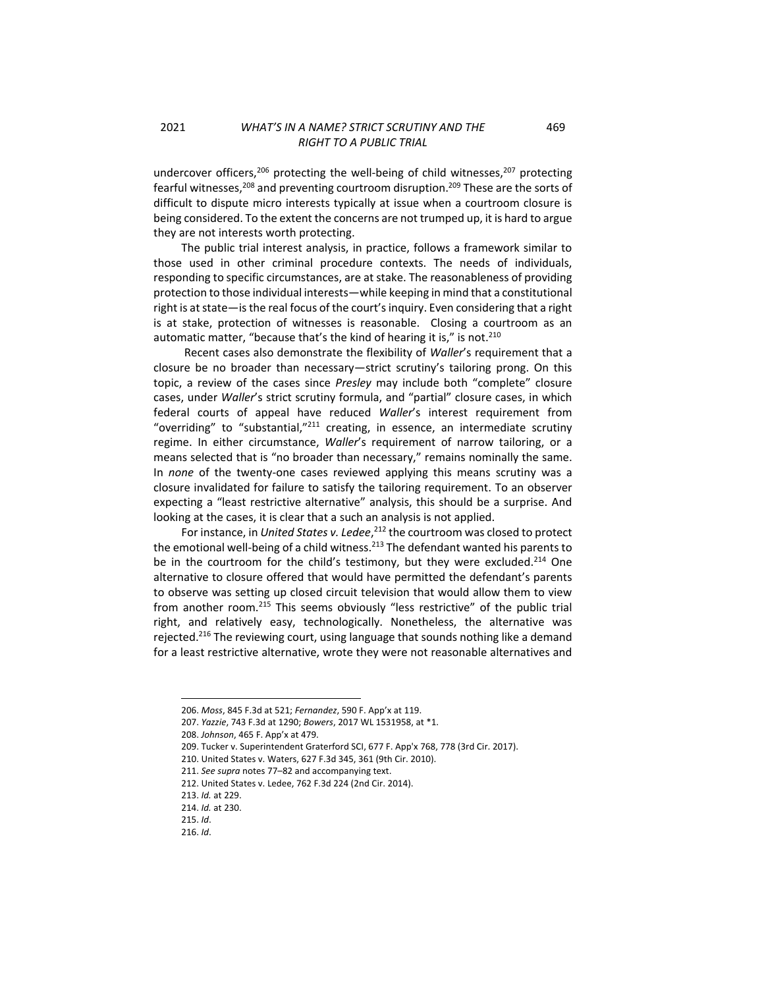undercover officers,<sup>206</sup> protecting the well-being of child witnesses,<sup>207</sup> protecting fearful witnesses, $208$  and preventing courtroom disruption.<sup>209</sup> These are the sorts of difficult to dispute micro interests typically at issue when a courtroom closure is being considered. To the extent the concerns are not trumped up, it is hard to argue they are not interests worth protecting.

The public trial interest analysis, in practice, follows a framework similar to those used in other criminal procedure contexts. The needs of individuals, responding to specific circumstances, are at stake. The reasonableness of providing protection to those individual interests—while keeping in mind that a constitutional right is at state—is the real focus of the court's inquiry. Even considering that a right is at stake, protection of witnesses is reasonable. Closing a courtroom as an automatic matter, "because that's the kind of hearing it is," is not.<sup>210</sup>

Recent cases also demonstrate the flexibility of *Waller*'s requirement that a closure be no broader than necessary—strict scrutiny's tailoring prong. On this topic, a review of the cases since *Presley* may include both "complete" closure cases, under *Waller*'s strict scrutiny formula, and "partial" closure cases, in which federal courts of appeal have reduced *Waller*'s interest requirement from "overriding" to "substantial,"<sup>211</sup> creating, in essence, an intermediate scrutiny regime. In either circumstance, *Waller*'s requirement of narrow tailoring, or a means selected that is "no broader than necessary," remains nominally the same. In *none* of the twenty-one cases reviewed applying this means scrutiny was a closure invalidated for failure to satisfy the tailoring requirement. To an observer expecting a "least restrictive alternative" analysis, this should be a surprise. And looking at the cases, it is clear that a such an analysis is not applied.

<span id="page-22-0"></span>For instance, in *United States v. Ledee*, <sup>212</sup> the courtroom was closed to protect the emotional well-being of a child witness.<sup>213</sup> The defendant wanted his parents to be in the courtroom for the child's testimony, but they were excluded.<sup>214</sup> One alternative to closure offered that would have permitted the defendant's parents to observe was setting up closed circuit television that would allow them to view from another room.<sup>215</sup> This seems obviously "less restrictive" of the public trial right, and relatively easy, technologically. Nonetheless, the alternative was rejected.<sup>216</sup> The reviewing court, using language that sounds nothing like a demand for a least restrictive alternative, wrote they were not reasonable alternatives and

<sup>206.</sup> *Moss*, 845 F.3d at 521; *Fernandez*, 590 F. App'x at 119.

<sup>207.</sup> *Yazzie*, 743 F.3d at 1290; *Bowers*, 2017 WL 1531958, at \*1.

<sup>208.</sup> *Johnson*, 465 F. App'x at 479.

<sup>209.</sup> Tucker v. Superintendent Graterford SCI, 677 F. App'x 768, 778 (3rd Cir. 2017).

<sup>210.</sup> United States v. Waters, 627 F.3d 345, 361 (9th Cir. 2010).

<sup>211.</sup> *See supra* notes 77–82 and accompanying text.

<sup>212.</sup> United States v. Ledee, 762 F.3d 224 (2nd Cir. 2014).

<sup>213.</sup> *Id.* at 229.

<sup>214.</sup> *Id.* at 230.

<sup>215.</sup> *Id*.

<sup>216.</sup> *Id*.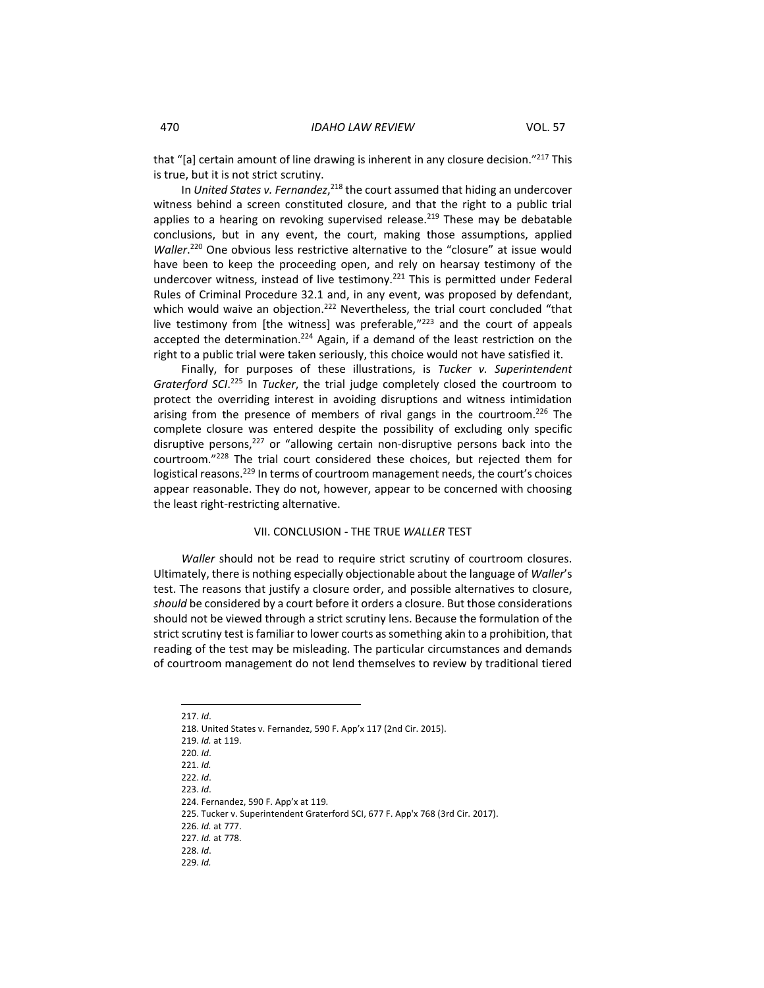that "[a] certain amount of line drawing is inherent in any closure decision."<sup>217</sup> This is true, but it is not strict scrutiny.

In United States v. Fernandez,<sup>218</sup> the court assumed that hiding an undercover witness behind a screen constituted closure, and that the right to a public trial applies to a hearing on revoking supervised release.<sup>219</sup> These may be debatable conclusions, but in any event, the court, making those assumptions, applied Waller.<sup>220</sup> One obvious less restrictive alternative to the "closure" at issue would have been to keep the proceeding open, and rely on hearsay testimony of the undercover witness, instead of live testimony.<sup>221</sup> This is permitted under Federal Rules of Criminal Procedure 32.1 and, in any event, was proposed by defendant, which would waive an objection.<sup>222</sup> Nevertheless, the trial court concluded "that live testimony from [the witness] was preferable,"<sup>223</sup> and the court of appeals accepted the determination.<sup>224</sup> Again, if a demand of the least restriction on the right to a public trial were taken seriously, this choice would not have satisfied it.

Finally, for purposes of these illustrations, is *Tucker v. Superintendent Graterford SCI*. <sup>225</sup> In *Tucker*, the trial judge completely closed the courtroom to protect the overriding interest in avoiding disruptions and witness intimidation arising from the presence of members of rival gangs in the courtroom.<sup>226</sup> The complete closure was entered despite the possibility of excluding only specific disruptive persons, $227$  or "allowing certain non-disruptive persons back into the courtroom."<sup>228</sup> The trial court considered these choices, but rejected them for logistical reasons.<sup>229</sup> In terms of courtroom management needs, the court's choices appear reasonable. They do not, however, appear to be concerned with choosing the least right-restricting alternative.

#### <span id="page-23-1"></span>VII. CONCLUSION - THE TRUE *WALLER* TEST

<span id="page-23-0"></span>*Waller* should not be read to require strict scrutiny of courtroom closures. Ultimately, there is nothing especially objectionable about the language of *Waller*'s test. The reasons that justify a closure order, and possible alternatives to closure, *should* be considered by a court before it orders a closure. But those considerations should not be viewed through a strict scrutiny lens. Because the formulation of the strict scrutiny test is familiar to lower courts as something akin to a prohibition, that reading of the test may be misleading. The particular circumstances and demands of courtroom management do not lend themselves to review by traditional tiered

217. *Id*.

218. United States v. Fernandez, 590 F. App'x 117 (2nd Cir. 2015).

219. *Id.* at 119.

220. *Id*.

221. *Id.*

222. *Id*.

223. *Id*.

224. Fernandez, 590 F. App'x at 119*.*

225. Tucker v. Superintendent Graterford SCI, 677 F. App'x 768 (3rd Cir. 2017).

226. *Id.* at 777.

228. *Id*.

229. *Id.*

<sup>227.</sup> *Id.* at 778.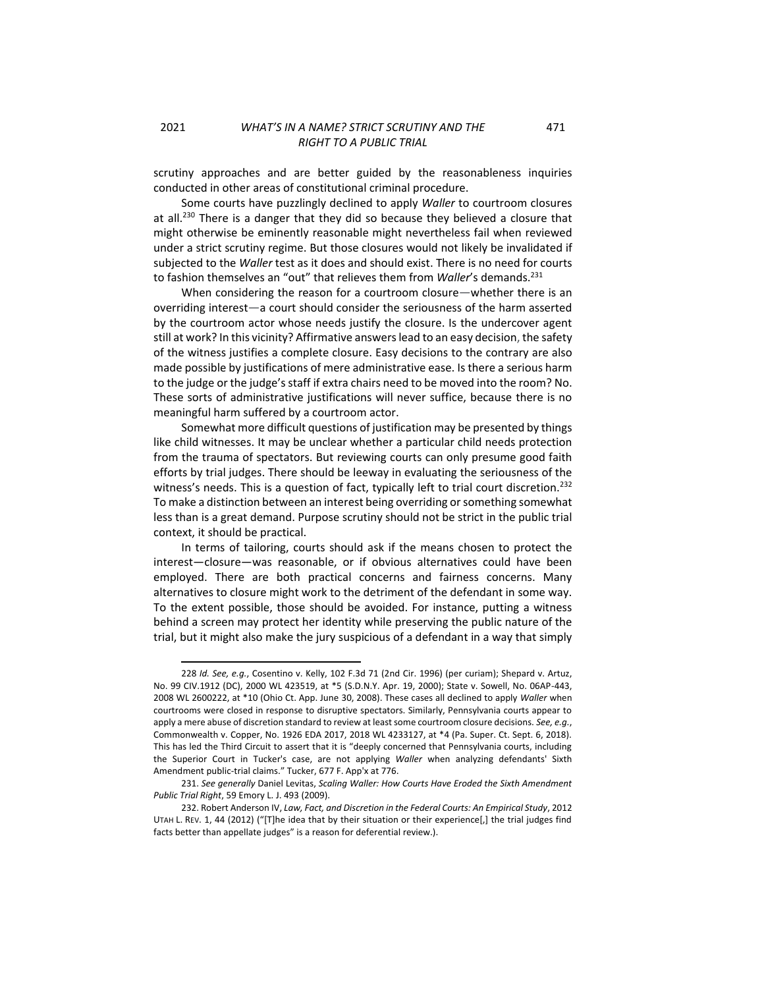scrutiny approaches and are better guided by the reasonableness inquiries conducted in other areas of constitutional criminal procedure.

Some courts have puzzlingly declined to apply *Waller* to courtroom closures at all.<sup>230</sup> There is a danger that they did so because they believed a closure that might otherwise be eminently reasonable might nevertheless fail when reviewed under a strict scrutiny regime. But those closures would not likely be invalidated if subjected to the *Waller* test as it does and should exist. There is no need for courts to fashion themselves an "out" that relieves them from *Waller's* demands.<sup>231</sup>

When considering the reason for a courtroom closure—whether there is an overriding interest—a court should consider the seriousness of the harm asserted by the courtroom actor whose needs justify the closure. Is the undercover agent still at work? In this vicinity? Affirmative answerslead to an easy decision, the safety of the witness justifies a complete closure. Easy decisions to the contrary are also made possible by justifications of mere administrative ease. Is there a serious harm to the judge or the judge's staff if extra chairs need to be moved into the room? No. These sorts of administrative justifications will never suffice, because there is no meaningful harm suffered by a courtroom actor.

Somewhat more difficult questions of justification may be presented by things like child witnesses. It may be unclear whether a particular child needs protection from the trauma of spectators. But reviewing courts can only presume good faith efforts by trial judges. There should be leeway in evaluating the seriousness of the witness's needs. This is a question of fact, typically left to trial court discretion.<sup>232</sup> To make a distinction between an interest being overriding or something somewhat less than is a great demand. Purpose scrutiny should not be strict in the public trial context, it should be practical.

In terms of tailoring, courts should ask if the means chosen to protect the interest—closure—was reasonable, or if obvious alternatives could have been employed. There are both practical concerns and fairness concerns. Many alternatives to closure might work to the detriment of the defendant in some way. To the extent possible, those should be avoided. For instance, putting a witness behind a screen may protect her identity while preserving the public nature of the trial, but it might also make the jury suspicious of a defendant in a way that simply

471

<sup>228</sup> *Id. See, e.g.*, Cosentino v. Kelly, 102 F.3d 71 (2nd Cir. 1996) (per curiam); Shepard v. Artuz, No. 99 CIV.1912 (DC), 2000 WL 423519, at \*5 (S.D.N.Y. Apr. 19, 2000); State v. Sowell, No. 06AP-443, 2008 WL 2600222, at \*10 (Ohio Ct. App. June 30, 2008). These cases all declined to apply *Waller* when courtrooms were closed in response to disruptive spectators. Similarly, Pennsylvania courts appear to apply a mere abuse of discretion standard to review at least some courtroom closure decisions. *See, e.g.*, Commonwealth v. Copper, No. 1926 EDA 2017, 2018 WL 4233127, at \*4 (Pa. Super. Ct. Sept. 6, 2018). This has led the Third Circuit to assert that it is "deeply concerned that Pennsylvania courts, including the Superior Court in Tucker's case, are not applying *Waller* when analyzing defendants' Sixth Amendment public-trial claims." Tucker, 677 F. App'x at 776.

<sup>231.</sup> *See generally* Daniel Levitas, *Scaling Waller: How Courts Have Eroded the Sixth Amendment Public Trial Right*, 59 Emory L. J. 493 (2009).

<sup>232.</sup> Robert Anderson IV, *Law, Fact, and Discretion in the Federal Courts: An Empirical Study*, 2012 UTAH L. REV. 1, 44 (2012) ("[T]he idea that by their situation or their experience[,] the trial judges find facts better than appellate judges" is a reason for deferential review.).